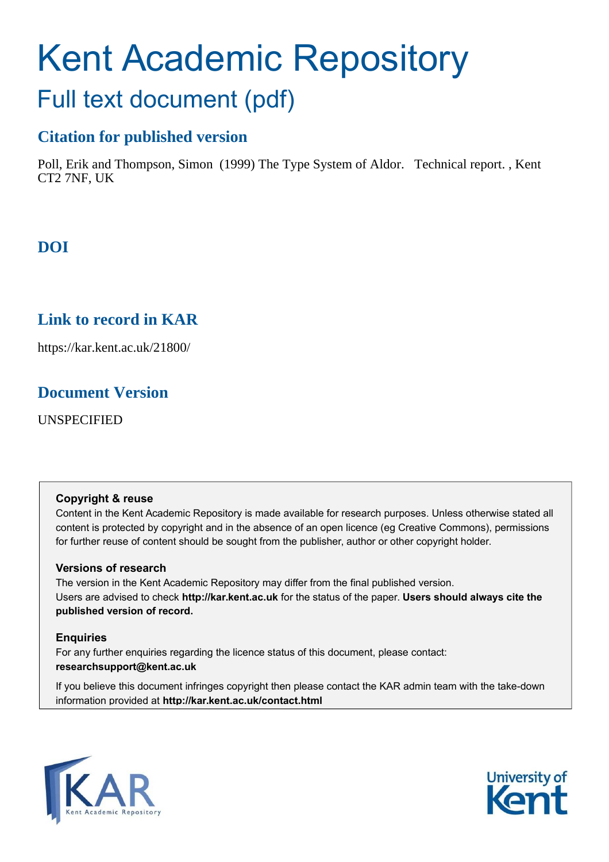# Kent Academic Repository

## Full text document (pdf)

## **Citation for published version**

Poll, Erik and Thompson, Simon (1999) The Type System of Aldor. Technical report. , Kent CT2 7NF, UK

## **DOI**

## **Link to record in KAR**

https://kar.kent.ac.uk/21800/

## **Document Version**

UNSPECIFIED

## **Copyright & reuse**

Content in the Kent Academic Repository is made available for research purposes. Unless otherwise stated all content is protected by copyright and in the absence of an open licence (eg Creative Commons), permissions for further reuse of content should be sought from the publisher, author or other copyright holder.

## **Versions of research**

The version in the Kent Academic Repository may differ from the final published version. Users are advised to check **http://kar.kent.ac.uk** for the status of the paper. **Users should always cite the published version of record.**

## **Enquiries**

For any further enquiries regarding the licence status of this document, please contact: **researchsupport@kent.ac.uk**

If you believe this document infringes copyright then please contact the KAR admin team with the take-down information provided at **http://kar.kent.ac.uk/contact.html**



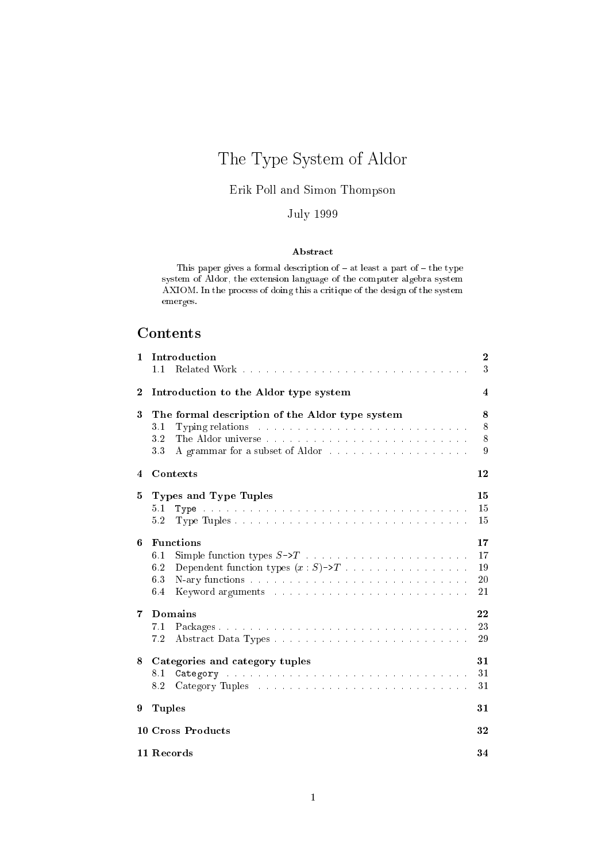## The Type System of Aldor

## Erik Poll and Simon Thompson

## July <sup>1999</sup>

## Abstra
t

This paper gives a formal description of  $-$  at least a part of  $-$  the type system of Aldor, the extension language of the omputer algebra system AXIOM. In the process of doing this a critique of the design of the system emerges.

## **Contents**

| 1        | Introduction<br>1.1                                                                                                                                                                                                                                                                                                                | $\bf{2}$<br>3              |
|----------|------------------------------------------------------------------------------------------------------------------------------------------------------------------------------------------------------------------------------------------------------------------------------------------------------------------------------------|----------------------------|
| $\bf{2}$ | Introduction to the Aldor type system                                                                                                                                                                                                                                                                                              | 4                          |
| 3        | The formal description of the Aldor type system<br>3.1<br>3.2<br>A grammar for a subset of Aldor<br>3.3                                                                                                                                                                                                                            | 8<br>8<br>8<br>9           |
| 4        | Contexts                                                                                                                                                                                                                                                                                                                           | $12 \,$                    |
| 5        | Types and Type Tuples<br>5.1<br>5.2                                                                                                                                                                                                                                                                                                | 15<br>15<br>15             |
| 6        | <b>Functions</b><br>6.1<br>Dependent function types $(x : S) \rightarrow T$<br>6.2<br>6.3<br>6.4<br>Keyword arguments and a contract the contract of the second second second second second second second second second second second second second second second second second second second second second second second second s | 17<br>17<br>19<br>20<br>21 |
| 7        | Domains<br>7.1<br>7.2                                                                                                                                                                                                                                                                                                              | 22<br>23<br>29             |
| 8        | Categories and category tuples<br>$8.1\,$<br>8.2                                                                                                                                                                                                                                                                                   | 31<br>31<br>31             |
| 9        | <b>Tuples</b>                                                                                                                                                                                                                                                                                                                      | 31                         |
|          | 10 Cross Products                                                                                                                                                                                                                                                                                                                  | $32\,$                     |
|          | 11 Records                                                                                                                                                                                                                                                                                                                         | 34                         |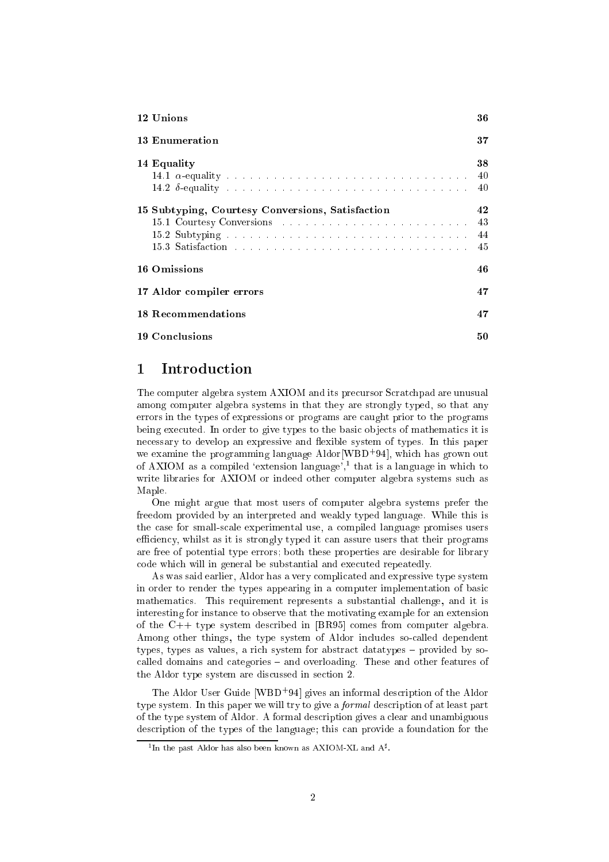| 12 Unions                                        | 36                   |
|--------------------------------------------------|----------------------|
| <b>13 Enumeration</b>                            | 37                   |
| 14 Equality                                      | 38<br>40<br>40       |
| 15 Subtyping, Courtesy Conversions, Satisfaction | 42<br>43<br>44<br>45 |
| 16 Omissions                                     | 46                   |
| 17 Aldor compiler errors                         | 47                   |
| <b>18 Recommendations</b>                        | 47                   |
| <b>19 Conclusions</b>                            | 50                   |

#### Introduction 1

The computer algebra system AXIOM and its precursor Scratchpad are unusual among computer algebra systems in that they are strongly typed, so that any errors in the types of expressions or programs are caught prior to the programs being executed. In order to give types to the basic objects of mathematics it is necessary to develop an expressive and flexible system of types. In this paper we examine the programming language Aldor [WBD+94], which has grown out of AXIOM as a compiled 'extension language', $\frac{1}{2}$  that is a language in which to write libraries for AXIOM or indeed other computer algebra systems such as Maple

One might argue that most users of computer algebra systems prefer the freedom provided by an interpreted and weakly typed language. While this is the case for small-scale experimental use, a compiled language promises users efficiency, whilst as it is strongly typed it can assure users that their programs are free of potential type errors; both these properties are desirable for library code which will in general be substantial and executed repeatedly.

As was said earlier, Aldor has a very complicated and expressive type system in order to render the types appearing in a computer implementation of basic mathematics. This requirement represents a substantial challenge, and it is interesting for instance to observe that the motivating example for an extension of the  $C++$  type system described in [BR95] comes from computer algebra. Among other things, the type system of Aldor includes so-called dependent types, types as values, a rich system for abstract data types – provided by socalled domains and categories – and overloading. These and other features of the Aldor type system are discussed in section 2.

The Aldor User Guide [WBD+94] gives an informal description of the Aldor type system. In this paper we will try to give a *formal* description of at least part of the type system of Aldor. A formal description gives a clear and unambiguous description of the types of the language; this can provide a foundation for the

<sup>&</sup>lt;sup>1</sup> In the past Aldor has also been known as AXIOM-XL and  $A^{\sharp}$ .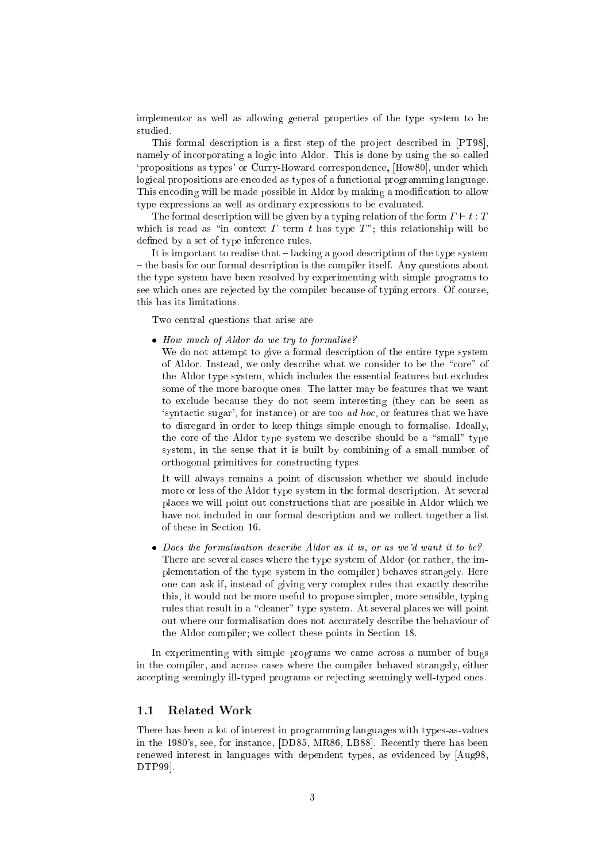implementor as well as allowing general properties of the type system to be studied.

This formal description is a first step of the project described in [PT98], namely of incorporating a logic into Aldor. This is done by using the so-called 'propositions as types' or Curry-Howard correspondence, [How80], under which logical propositions are encoded as types of a functional programming language. This encoding will be made possible in Aldor by making a modification to allow type expressions as well as ordinary expressions to be evaluated.

The formal description will be given by a typing relation of the form  $\Gamma \vdash t : T$ which is read as "in context  $\Gamma$  term  $t$  has type  $T$ "; this relationship will be defined by a set of type inference rules.

It is important to realise that  $-$  lacking a good description of the type system { the basis for our formal des
ription is the ompiler itself. Any questions about the type system have been resolved by experimenting with simple programs to see whi
h ones are reje
ted by the ompiler be
ause of typing errors. Of ourse, this has its limitations.

Two entral questions that arise are

How mu
h of Aldor do we try to formalise?

We do not attempt to give a formal description of the entire type system of Aldor. Instead, we only describe what we consider to be the "core" of the Aldor type system, whi
h in
ludes the essential features but ex
ludes some of the more baroque ones. The latter may be features that we want to exclude because they do not seem interesting (they can be seen as 'syntactic sugar', for instance) or are too *ad hoc*, or features that we have to disregard in order to keep things simple enough to formalise. Ideally, the core of the Aldor type system we describe should be a "small" type system, in the sense that it is built by ombining of a small number of orthogonal primitives for onstru
ting types.

It will always remains a point of discussion whether we should include more or less of the Aldor type system in the formal description. At several places we will point out constructions that are possible in Aldor which we have not included in our formal description and we collect together a list of these in Se
tion 16.

 Does the formalisation des
ribe Aldor as it is, or as we'd want it to be? There are several cases where the type system of Aldor (or rather, the implementation of the type system in the ompiler) behaves strangely. Here one an ask if, instead of giving very omplex rules that exa
tly des
ribe this, it would not be more useful to propose simpler, more sensible, typing rules that result in a "cleaner" type system. At several places we will point out where our formalisation does not accurately describe the behaviour of the Aldor compiler; we collect these points in Section 18.

In experimenting with simple programs we came across a number of bugs in the ompiler, and a
ross ases where the ompiler behaved strangely, either accepting seemingly ill-typed programs or rejecting seemingly well-typed ones.

## 1.1 Related Work

There has been a lot of interest in programming languages with types-as-values in the 1980's, see, for instance, [DD85, MR86, LB88]. Recently there has been renewed interest in languages with dependent types, as eviden
ed by [Aug98, DTP99].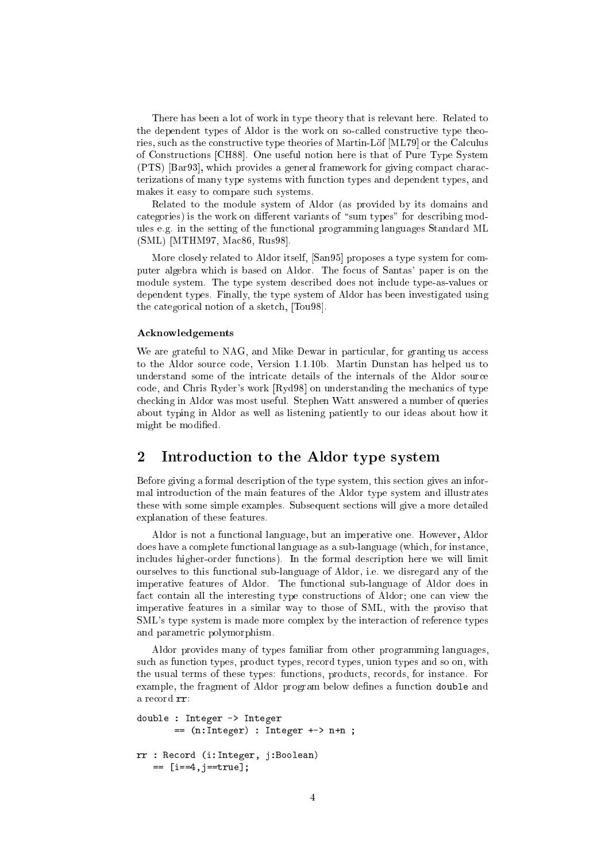There has been a lot of work in type theory that is relevant here. Related to the dependent types of Aldor is the work on so-called constructive type theories, such as the constructive type theories of Martin-Löf [ML79] or the Calculus of Constructions [CH88]. One useful notion here is that of Pure Type System (PTS) [Bar93], which provides a general framework for giving compact characterizations of many type systems with function types and dependent types, and makes it easy to ompare su
h systems.

Related to the module system of Aldor (as provided by its domains and categories) is the work on different variants of "sum types" for describing modules e.g. in the setting of the fun
tional programming languages Standard ML (SML) [MTHM97, Mac86, Rus98].

More closely related to Aldor itself, [San95] proposes a type system for computer algebra which is based on Aldor. The focus of Santas' paper is on the module system. The type system described does not include type-as-values or dependent types. Finally, the type system of Aldor has been investigated using the categorical notion of a sketch, [Tou98].

## **Acknowledgements**

We are grateful to NAG, and Mike Dewar in particular, for granting us access to the Aldor sour
e ode, Version 1.1.10b. Martin Dunstan has helped us to understand some of the intricate details of the internals of the Aldor source code, and Chris Ryder's work  $[Ryd98]$  on understanding the mechanics of type he
king in Aldor was most useful. Stephen Watt answered a number of queries about typing in Aldor as well as listening patiently to our ideas about how it might be modified.

## 2 Introduction to the Aldor type system

Before giving a formal des
ription of the type system, this se
tion gives an informal introdu
tion of the main features of the Aldor type system and illustrates these with some simple examples. Subsequent se
tions will give a more detailed explanation of these features.

Aldor is not a fun
tional language, but an imperative one. However, Aldor does have a complete functional language as a sub-language (which, for instance, in
ludes higher-order fun
tions). In the formal des
ription here we will limit ourselves to this fun
tional sub-language of Aldor, i.e. we disregard any of the imperative features of Aldor. The fun
tional sub-language of Aldor does in fact contain all the interesting type constructions of Aldor; one can view the imperative features in a similar way to those of SML, with the proviso that SML's type system is made more complex by the interaction of reference types and parametri polymorphism.

Aldor provides many of types familiar from other programming languages, such as function types, product types, record types, union types and so on, with the usual terms of these types: fun
tions, produ
ts, re
ords, for instan
e. For example, the fragment of Aldor program below defines a function double and a re
ord rr:

```
double : Integer -> Integer
       == (n:Integer) : Integer +-> n+n ;
rr : Re
ord (i:Integer, j:Boolean)
```
== [i==4,j==true℄;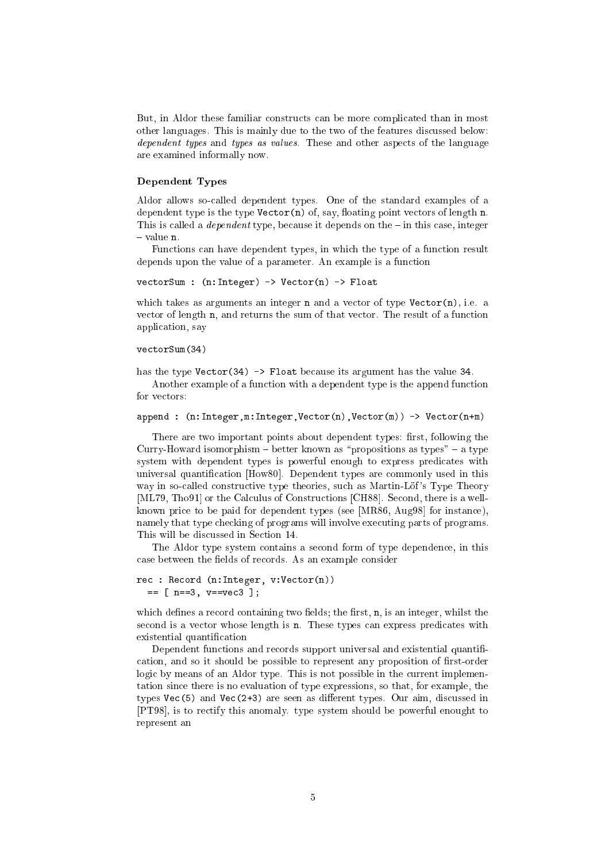But, in Aldor these familiar onstru
ts an be more ompli
ated than in most other languages. This is mainly due to the two of the features dis
ussed below: dependent types and types as values. These and other aspects of the language are examined informally now.

### Dependent Types

Aldor allows soalled dependent types. One of the standard examples of a dependent type is the type  $\text{Vector}(n)$  of, say, floating point vectors of length n. This is called a *dependent* type, because it depends on the  $-$  in this case, integer  $-$  value  $n$ .

Functions can have dependent types, in which the type of a function result depends upon the value of a parameter. An example is a function

ve
torSum : (n:Integer) -> Ve
tor(n) -> Float

which takes as arguments an integer  $n$  and a vector of type Vector $(n)$ , i.e. a vector of length n, and returns the sum of that vector. The result of a function appli
ation, say

#### ve
torSum(34)

has the type Vector(34) -> Float because its argument has the value 34.

Another example of a function with a dependent type is the append function for vectors:

```
append : (n), Integer, Venezuel in the Contract of the Contract of the Contract of the Contract of the Contract of the Contract of the Contract of the Contract of the Contract of the Contract of the Contract of the Contrac
```
There are two important points about dependent types: first, following the Curry-Howard isomorphism  $-$  better known as "propositions as types"  $-$  a type system with dependent types is powerful enough to express predicates with universal quantification [How80]. Dependent types are commonly used in this way in so-called constructive type theories, such as Martin-Löf's Type Theory [ML79, Tho91] or the Calculus of Constructions [CH88]. Second, there is a wellknown price to be paid for dependent types (see [MR86, Aug98] for instance), namely that type he
king of programs will involve exe
uting parts of programs. This will be discussed in Section 14.

The Aldor type system contains a second form of type dependence, in this case between the fields of records. As an example consider

```
re
 : Re
ord (n:Integer, v:Ve
tor(n))
  == [ n==3, v==ve
3 ℄;
```
which defines a record containing two fields; the first,  $n$ , is an integer, whilst the second is a vector whose length is n. These types can express predicates with existential quantification

Dependent functions and records support universal and existential quantification, and so it should be possible to represent any proposition of first-order logic by means of an Aldor type. This is not possible in the current implementation sin
e there is no evaluation of type expressions, so that, for example, the types  $Vec(5)$  and  $Vec(2+3)$  are seen as different types. Our aim, discussed in [PT98], is to rectify this anomaly. type system should be powerful enought to represent an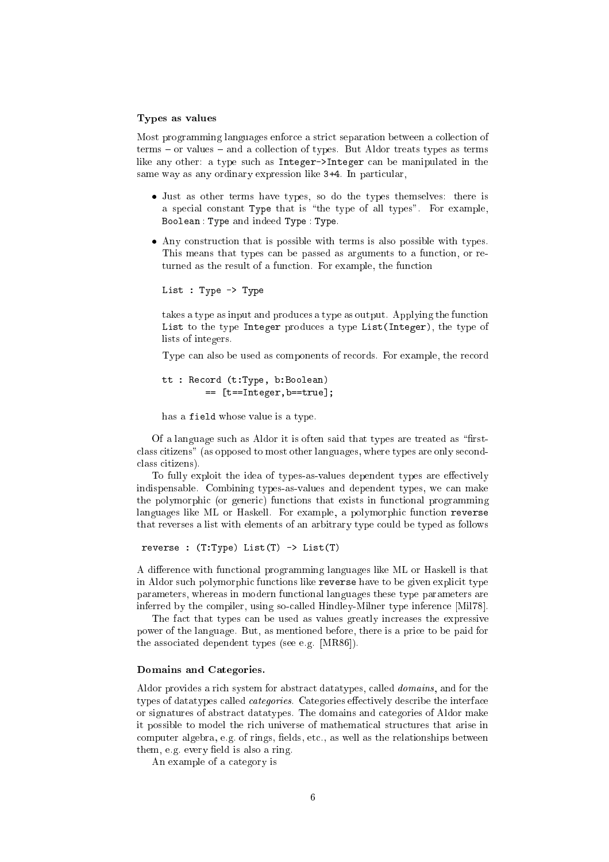#### Types as values

Most programming languages enfor
e a stri
t separation between a olle
tion of  $terms - or values - and a collection of types. But Aldor treats types as terms$ like any other: a type such as Integer->Integer can be manipulated in the same way as any ordinary expression like  $3+4$ . In particular,

- Just as other terms have types, so do the types themselves: there is a special constant Type that is "the type of all types". For example, Boolean : Type and indeed Type : Type.
- Any construction that is possible with terms is also possible with types. This means that types can be passed as arguments to a function, or returned as the result of a function. For example, the function

```
List : Type -> Type
```
takes a type as input and produces a type as output. Applying the function List to the type Integer produ
es a type List(Integer), the type of lists of integers.

Type can also be used as components of records. For example, the record

```
tt : Re
ord (t:Type, b:Boolean)
        == [t==Integer,b==true℄;
```
has a field whose value is a type.

Of a language such as Aldor it is often said that types are treated as "firstclass citizens" (as opposed to most other languages, where types are only secondclass citizens).

To fully exploit the idea of types-as-values dependent types are effectively indispensable. Combining types-as-values and dependent types, we an make the polymorphi (or generi
) fun
tions that exists in fun
tional programming languages like ML or Haskell. For example, a polymorphic function reverse that reverses a list with elements of an arbitrary type ould be typed as follows

```
reverse : (T:Type) List(T) -> List(T)
```
A difference with functional programming languages like ML or Haskell is that in Aldor su
h polymorphi fun
tions like reverse have to be given expli
it type parameters, whereas in modern fun
tional languages these type parameters are inferred by the compiler, using so-called Hindley-Milner type inference [Mil78].

The fact that types can be used as values greatly increases the expressive power of the language. But, as mentioned before, there is a pri
e to be paid for the associated dependent types (see e.g. [MR86]).

#### Domains and Categories.

Aldor provides a rich system for abstract datatypes, called *domains*, and for the types of datatypes called *categories*. Categories effectively describe the interface or signatures of abstract datatypes. The domains and categories of Aldor make it possible to model the rich universe of mathematical structures that arise in computer algebra, e.g. of rings, fields, etc., as well as the relationships between them, e.g. every field is also a ring.

An example of a ategory is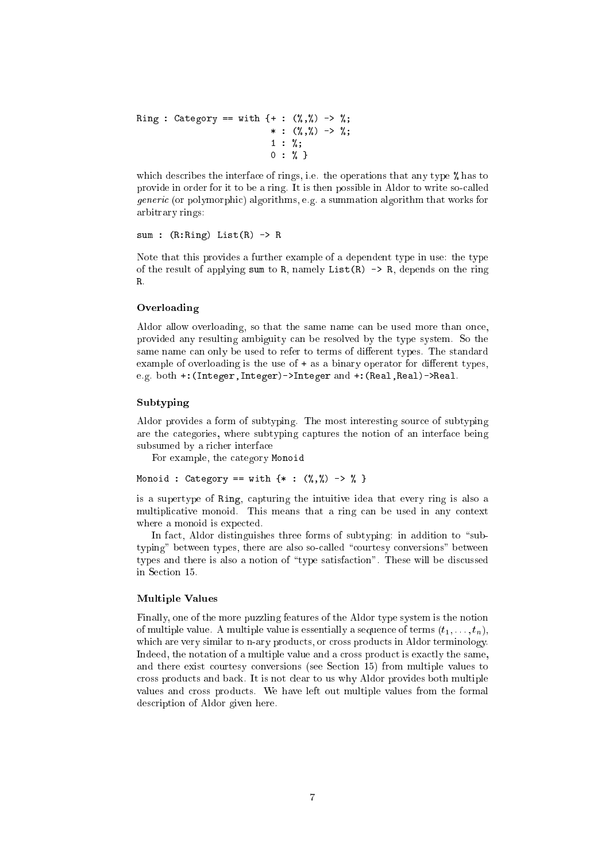```
Ring : Category == with {+ : (%,%) -> %;
                                 \cdots . \cdots . \cdots . \cdots . \cdots1 : %;
                                 0: % : % }
```
which describes the interface of rings, i.e. the operations that any type % has to provide in order for it to be a ring. It is then possible in Aldor to write soalled  $\mathcal{G}$  algorithms, e.g. algorithms, e.g. a summation algorithm that works for  $\mathcal{G}$ arbitrary rings:

sum : (R:Ring) List(R) -> <sup>R</sup>

Note that this provides a further example of a dependent type in use: the type of the result of applying sum to R, namely List $(R) \rightarrow R$ , depends on the ring  $\mathbf{R}$ 

#### Overloading

Aldor allow overloading, so that the same name can be used more than once, provided any resulting ambiguity an be resolved by the type system. So the same name can only be used to refer to terms of different types. The standard example of overloading is the use of  $+$  as a binary operator for different types, e.g. both +:(Integer,Integer)->Integer and +:(Real,Real)->Real.

#### $S = S \cup S$  is the subset of  $S$

Aldor provides a form of subtyping. The most interesting sour
e of subtyping are the ategories, where subtyping aptures the notion of an interfa
e being subsumed by a ri
her interfa
e

For example, the ategory Monoid

Monoid : Category == with {\* : (%,%) -> % }

is a supertype of Ring, apturing the intuitive idea that every ring is also a multiplicative monoid. This means that a ring can be used in any context where a monoid is expected.

In fact, Aldor distinguishes three forms of subtyping: in addition to "subtyping" between types, there are also so-called "courtesy conversions" between types and there is also a notion of "type satisfaction". These will be discussed in Se
tion 15.

#### Multiple Values

Finally, one of the more puzzling features of the Aldor type system is the notion of multiple value. A multiple value is essentially a sequence of terms  $(t_1, \ldots, t_n)$ , which are very similar to n-ary products, or cross products in Aldor terminology. Indeed, the notation of a multiple value and a cross product is exactly the same, and there exist courtesy conversions (see Section 15) from multiple values to ross produ
ts and ba
k. It is not lear to us why Aldor provides both multiple values and cross products. We have left out multiple values from the formal des
ription of Aldor given here.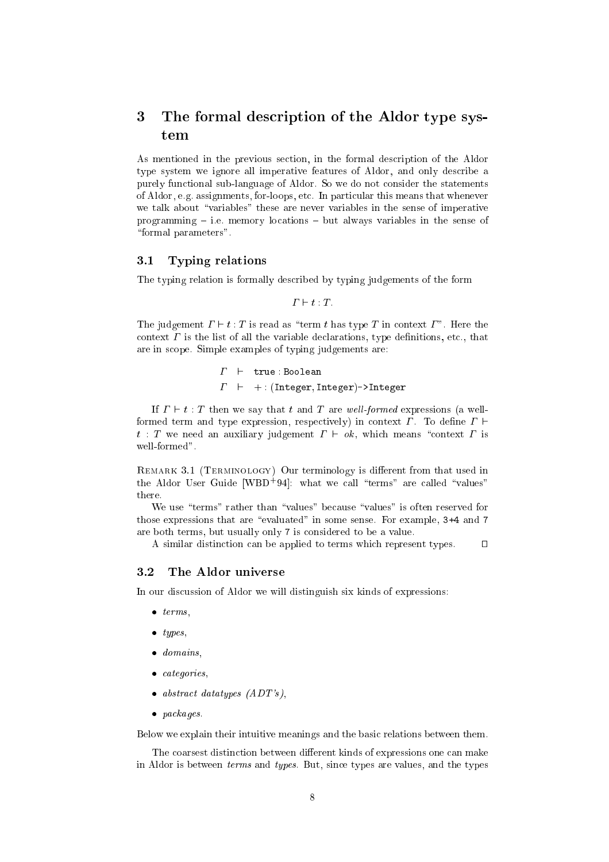## 3 The formal des
ription of the Aldor type system

As mentioned in the previous se
tion, in the formal des
ription of the Aldor type system we ignore all imperative features of Aldor, and only describe a purely fun
tional sub-language of Aldor. So we do not onsider the statements of Aldor, e.g. assignments, for-loops, et
. In parti
ular this means that whenever we talk about "variables" these are never variables in the sense of imperative programming  $-$  i.e. memory locations  $-$  but always variables in the sense of "formal parameters".

## 3.1 Typing relations

The typing relation is formally des
ribed by typing judgements of the form

 $\Gamma \vdash t : T$ 

The judgement  $\Gamma \vdash t : T$  is read as "term t has type T in context  $\Gamma$ ". Here the context  $\Gamma$  is the list of all the variable declarations, type definitions, etc., that are in s
ope. Simple examples of typing judgements are:

> $\Gamma$   $\vdash$  true : Boolean  $\Gamma$  + : (Integer, Integer)->Integer

If  $\Gamma \vdash t : T$  then we say that t and T are well-formed expressions (a wellformed term and type expression, respectively) in context  $\Gamma$ . To define  $\Gamma$   $\vdash$  $t$ : T we need an auxiliary judgement  $\Gamma \vdash \mathfrak{sk}$ , which means "context  $\Gamma$  is well-formed".

remarks 3.1 (Terminology) Our terminology is dierent from the used in  $\mathbb{R}^n$  $\tau$  and  $\tau$  user Guide (WBD-94): what we call terms are called values there.

We use "terms" rather than "values" because "values" is often reserved for those expressions that are "evaluated" in some sense. For example, 3+4 and 7 are both terms, but usually only <sup>7</sup> is onsidered to be a value.

A similar distinction can be applied to terms which represent types.  $\Box$ 

#### $3.2$ The Aldor universe

In our discussion of Aldor we will distinguish six kinds of expressions:

- $\bullet$  terms.
- $\bullet$  types,
- domains,
- $\bullet$  categories,
- $\bullet$  abstract datatypes  $(ADT's)$ ,
- packages.

Below we explain their intuitive meanings and the basi relations between them.

The coarsest distinction between different kinds of expressions one can make in Aldor is between terms and types. But, sin
e types are values, and the types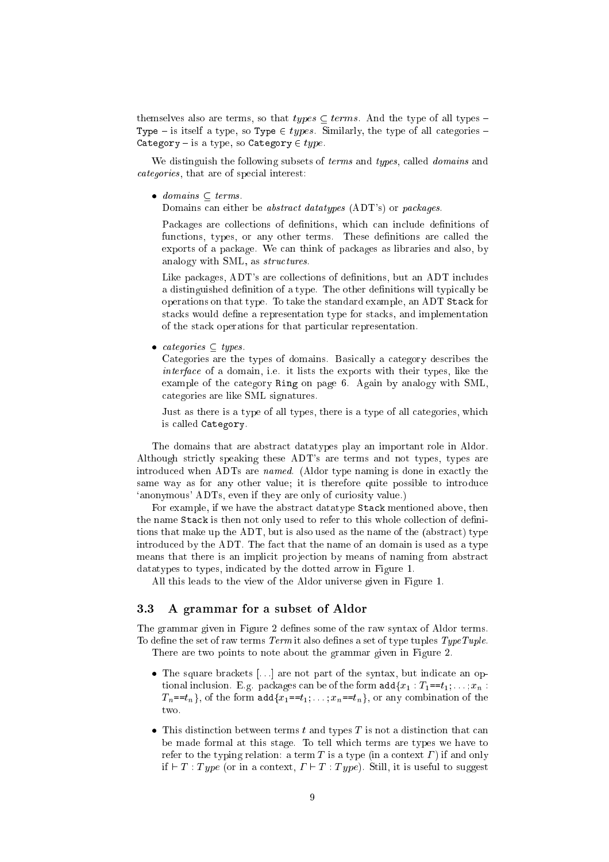themselves also are terms, so that  $types \subseteq terms$ . And the type of all types -Type { is itself a type, so Type <sup>2</sup> types. Similarly, the type of all ategories { Category { is a type, so Category <sup>2</sup> type.

We distinguish the following subsets of *terms* and *types*, called *domains* and categories, that are of special interest:

domains terms. The second second terms in the second second terms in the second second second second second se

Domains can either be *abstract datatypes* (ADT's) or *packages*.

Packages are collections of definitions, which can include definitions of functions, types, or any other terms. These definitions are called the exports of a package. We can think of packages as libraries and also, by analogy with SML, as *structures*.

Like packages, ADT's are collections of definitions, but an ADT includes a distinguished definition of a type. The other definitions will typically be operations on that type. To take the standard example, an ADT Sta
k for stacks would define a representation type for stacks, and implementation of the sta
k operations for that parti
ular representation.

ategories types.

Categories are the types of domains. Basically a category describes the interface of a domain, i.e. it must the exports with the exports  $\mathcal{L}_{\mathcal{A}}$ example of the category Ring on page 6. Again by analogy with SML, ategories are like SML signatures.

Just as there is a type of all types, there is a type of all categories, which is alled Category.

The domains that are abstract datatypes play an important role in Aldor. Although strictly speaking these ADT's are terms and not types, types are introdu
ed when ADTs are named. (Aldor type naming is done in exa
tly the same way as for any other value; it is therefore quite possible to introduce 'anonymous' ADTs, even if they are only of curiosity value.)

For example, if we have the abstract datatype Stack mentioned above, then the name Stack is then not only used to refer to this whole collection of definitions that make up the ADT, but is also used as the name of the (abstract) type introdu
ed by the ADT. The fa
t that the name of an domain is used as a type means that there is an implicit projection by means of naming from abstract datatypes to types, indicated by the dotted arrow in Figure 1.

All this leads to the view of the Aldor universe given in Figure 1.

## 3.3 A grammar for a subset of Aldor

The grammar given in Figure 2 defines some of the raw syntax of Aldor terms. To define the set of raw terms Term it also defines a set of type tuples TypeTuple. There are two points to note about the grammar given in Figure 2.

- the state is the synthetic part of the synthetic state and synthesis and the synthetic state in the synthetic tional inclusion. E.g. packages can be of the form  $\text{add}\{x_1 : T_1 = t_1; \ldots; x_n :$  $T_n = t_n$ , of the form add $\{x_1 = t_1; \ldots; x_n = t_n\}$ , or any combination of the two.
- tion tion tion the time that the second times the state of the state of the state of the state of the state of be made formal at this stage. To tell whi
h terms are types we have to refer to the typing relation: a term T is a type (in a context  $\Gamma$ ) if and only if  $\vdash T : Type$  (or in a context,  $\Gamma \vdash T : Type$ ). Still, it is useful to suggest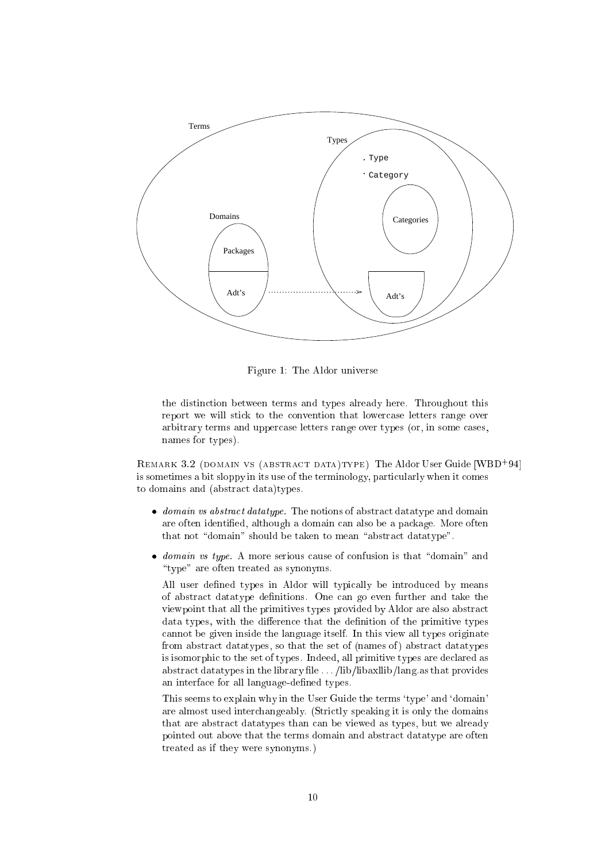

Figure 1: The Aldor universe

the distin
tion between terms and types already here. Throughout this report we will stick to the convention that lowercase letters range over arbitrary terms and upper
ase letters range over types (or, in some ases, names for types).

REMARK 3.2 (DOMAIN VS (ABSTRACT DATA)TYPE) I NE ALGOT USER GUIDE [WBD=94] is sometimes a bit sloppy in its use of the terminology, particularly when it comes to domains and (abstra
t data)types.

- domain vs abstract datatype. The notions of abstract datatype and domain are often identied, although a domain an also be a pa
kage. More often that not "domain" should be taken to mean "abstract datatype".
- $\bullet$  domain vs type. A more serious cause of confusion is that "domain" and " $type$ " are often treated as synonyms.

All user defined types in Aldor will typically be introduced by means of abstract datatype definitions. One can go even further and take the viewpoint that all the primitives types provided by Aldor are also abstra
t data types, with the difference that the definition of the primitive types annot be given inside the language itself. In this view all types originate from abstract datatypes, so that the set of (names of) abstract datatypes is isomorphi to the set of types. Indeed, all primitive types are de
lared as abstract datatypes in the library file ... /lib/libaxllib/lang.as that provides an interfa
e for all language-dened types.

This seems to explain why in the User Guide the terms 'type' and 'domain' are almost used inter
hangeably. (Stri
tly speaking it is only the domains that are abstra
t datatypes than an be viewed as types, but we already pointed out above that the terms domain and abstra
t datatype are often treated as if they were synonyms.)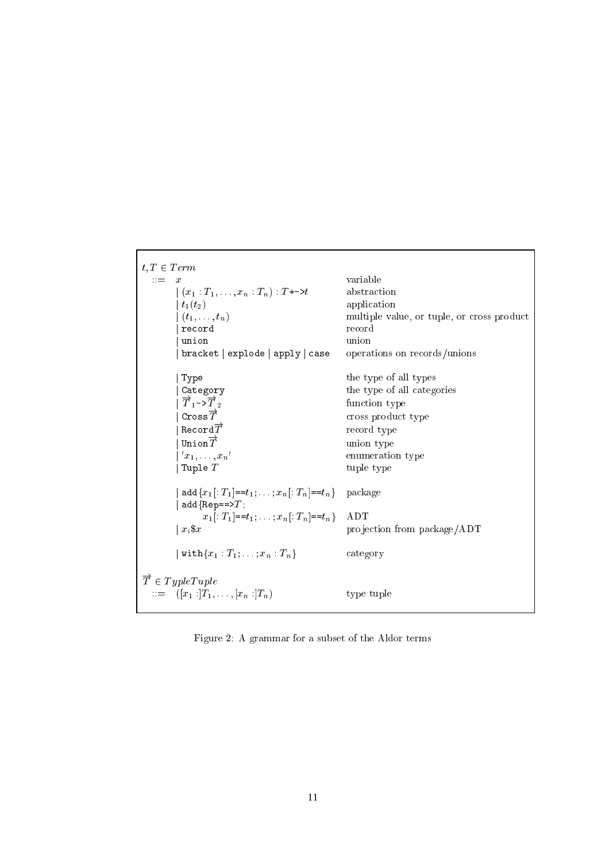```
t, T \in Termvariable\mathbf{r} = -x|(x_1 : T_1, \ldots, x_n : T_n) : T_{\tau} \rightarrow tabstraction
           \mid t_1(t_2)\midapplication
                                                               multiple value, or tuple, or cross product
           \mid (t_1,\ldots,t_n)\overline{\phantom{a}} record
                                                               record
           union
                                                               union
           bracket | explode | apply | case
                                                               operations on records/unions
                                                               the type of all types
            Type
            Category
                                                               the type of all categories
           |\overrightarrow{T}_1-\rangle\overrightarrow{T}_2function type
            \texttt{Cross}\overrightarrow{T}cross product type
            \mathtt{Re}\mathtt{cord}\overrightarrow{T}record type
            Union\overrightarrow{T}union type
            x_1,\ldots,x_n'
                                                               enumeration type
           | Tuple Ttuple type
           | add\{x_1[: T_1]==t_1; ...; x_n[: T_n]==t_n}
                                                               package
            add\{Rep==\gt;T\}x_1[: T_1]==t_1; ...; x_n[: T_n]==t_n}
                                                               ADT
                                                               projection from package/ADT
          \vert x_i \|\texttt{with}\{x_1:T_1;\ldots;x_n:T_n\}|category
\overrightarrow{T} \in TypeTuple\cdots = \left[ (x_1 : T_1, \ldots, [x_n : T_n] \right]type tuple
```
Figure 2: A grammar for a subset of the Aldor terms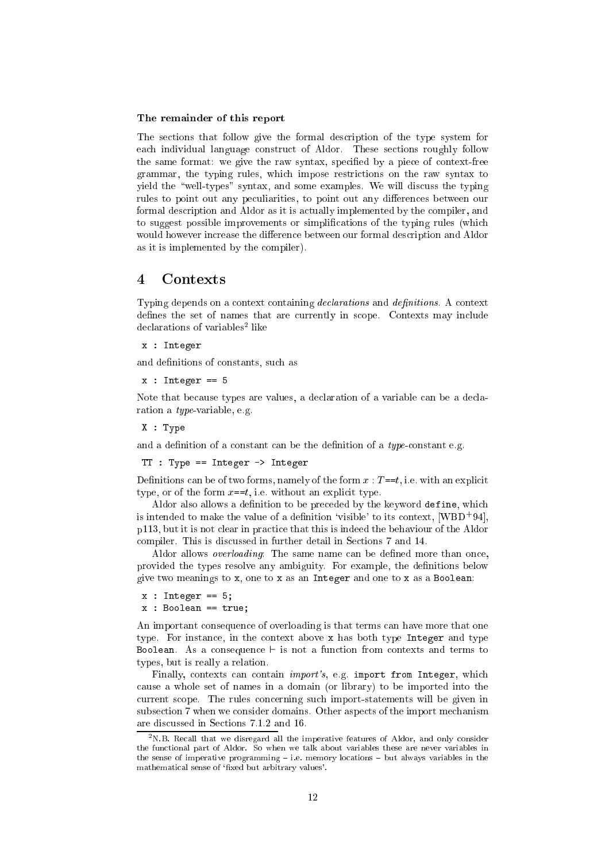### The remainder of this report

The se
tions that follow give the formal des
ription of the type system for each individual language construct of Aldor. These sections roughly follow the same format: we give the raw syntax, specified by a piece of context-free grammar, the typing rules, whi
h impose restri
tions on the raw syntax to vield the "well-types" syntax, and some examples. We will discuss the typing rules to point out any peculiarities, to point out any differences between our formal description and Aldor as it is actually implemented by the compiler, and to suggest possible improvements or simplifications of the typing rules (which would however increase the difference between our formal description and Aldor as it is implemented by the ompiler).

#### $\overline{\mathbf{4}}$  $\rm{Contents}$

Typing depends on a context containing *declarations* and *definitions*. A context defines the set of names that are currently in scope. Contexts may include declarations of variables- like

x : Integer

and definitions of constants, such as

 $\sim$   $\sim$   $\sim$   $\sim$   $\sim$   $\sim$ 

Note that because types are values, a declaration of a variable can be a declaration a type-variable, e.g.

. . . . . . .

and a definition of a constant can be the definition of a  $type$ -constant e.g.

TT : Type == Integer -> Integer

Definitions can be of two forms, namely of the form  $x : T = t$ , i.e. with an explicit type, or of the form  $x = t$ , i.e. without an explicit type.

Aldor also allows a definition to be preceded by the keyword define, which is intended to make the value of a definition 'visible' to its context,  $[WBD^+94]$ , p113, but it is not clear in practice that this is indeed the behaviour of the Aldor compiler. This is discussed in further detail in Sections 7 and 14.

Aldor allows *overloading*: The same name can be defined more than once, provided the types resolve any ambiguity. For example, the denitions below give two meanings to x, one to <sup>x</sup> as an Integer and one to <sup>x</sup> as a Boolean:

```
x : Integer == 5;
```
x : Boolean == true;

An important onsequen
e of overloading is that terms an have more that one type. For instance, in the context above x has both type Integer and type Boolean. As a consequence  $\vdash$  is not a function from contexts and terms to types, but is really a relation.

Finally, contexts can contain *import's*, e.g. import from Integer, which ause a whole set of names in a domain (or library) to be imported into the urrent s
ope. The rules on
erning su
h import-statements will be given in subsection 7 when we consider domains. Other aspects of the import mechanism are dis
ussed in Se
tions 7.1.2 and 16.

<sup>&</sup>lt;sup>2</sup>N.B. Recall that we disregard all the imperative features of Aldor, and only consider the fun
tional part of Aldor. So when we talk about variables these are never variables in the sense of imperative programming  $-$  i.e. memory locations  $-$  but always variables in the mathematical sense of 'fixed but arbitrary values'.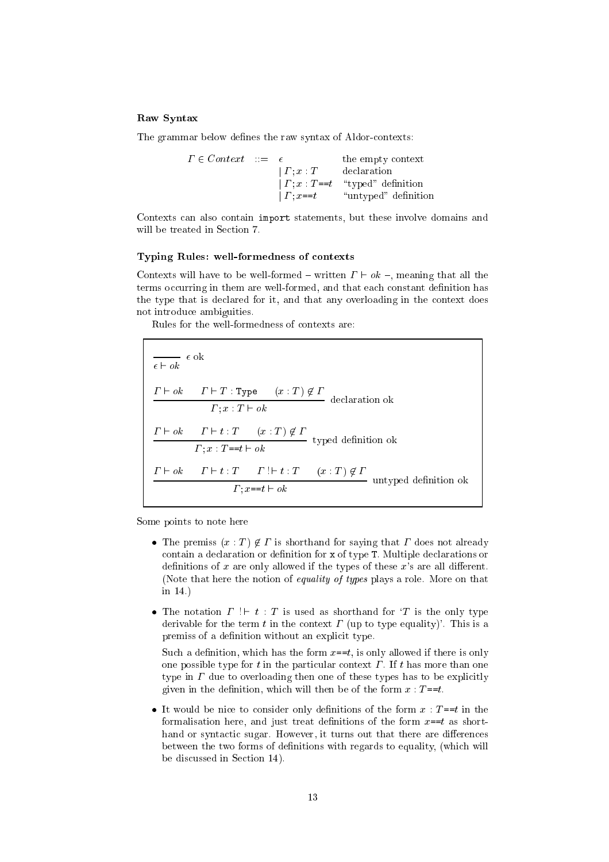#### Raw Syntax

The grammar below defines the raw syntax of Aldor-contexts:

 <sup>2</sup> Context ::= the empty ontext <sup>j</sup> ; <sup>x</sup> : <sup>T</sup> de
laration <sup>j</sup> ; <sup>x</sup> : <sup>T</sup> ==t \typed" denition j =  $\cdots$  .  $\cdots$  and  $\cdots$  defined defined as  $\cdots$ 

Contexts can also contain import statements, but these involve domains and will be treated in Section 7.

#### Typing Rules: well-formedness of ontexts

Contexts will have to be well-formed – written  $\Gamma \vdash ok$  –, meaning that all the terms occurring in them are well-formed, and that each constant definition has the type that is declared for it, and that any overloading in the context does not introdu
e ambiguities.

Rules for the well-formedness of ontexts are:

 ` ok ` <sup>T</sup> : Type (x : <sup>T</sup> ) <sup>62</sup> ; <sup>x</sup> : <sup>T</sup> ` ok ` ok ` <sup>t</sup> : <sup>T</sup> (x : <sup>T</sup> ) <sup>62</sup> typed denotes the control of the control of the control of the control of the control of the control of the control of the control of the control of the control of the control of the control of the control of the control o ; <sup>x</sup> : <sup>T</sup> ==t ` ok ` ok ` <sup>t</sup> : <sup>T</sup> ! ` <sup>t</sup> : <sup>T</sup> (x : <sup>T</sup> ) <sup>62</sup> untyped denition ok ; x==t ` ok

Some points to note here

- The premiss  $(x : T) \notin \Gamma$  is shorthand for saying that  $\Gamma$  does not already contain a declaration or definition for x of type T. Multiple declarations or definitions of  $x$  are only allowed if the types of these  $x$ 's are all different. (Note that here the notion of *equality of types* plays a role. More on that in 14.)
- The notation  $\Gamma$  !  $\vdash t$  : T is used as shorthand for 'T is the only type derivable for the term t in the context  $\Gamma$  (up to type equality)'. This is a premiss of a definition without an explicit type.

Such a definition, which has the form  $x=t$ , is only allowed if there is only one possible type for t in the particular context  $\Gamma$ . If t has more than one type in  $\Gamma$  due to overloading then one of these types has to be explicitly given in the definition, which will then be of the form  $x : T = t$ .

• It would be nice to consider only definitions of the form  $x : T == t$  in the formalisation here, and just treat definitions of the form  $x=$  as shorthand or syntactic sugar. However, it turns out that there are differences between the two forms of definitions with regards to equality, (which will be discussed in Section 14).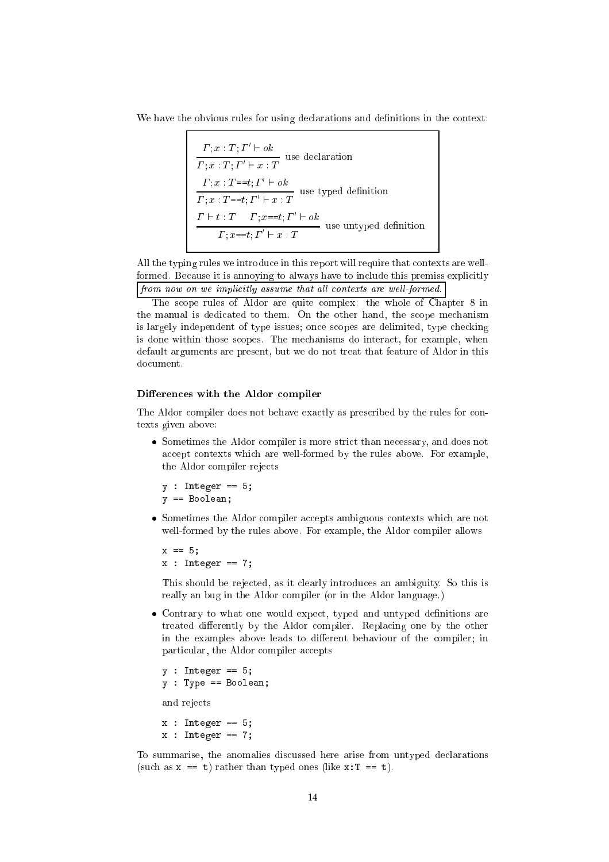We have the obvious rules for using declarations and definitions in the context:

 $I: x : I: I \quad \vdash \mathit{OK}$  $\varGamma$  ;  $x$  :  $T$  ;  $\varGamma' \vdash x$  :  $T$  $I: x: I == U, I \quad \sqsubset \; OK$  $\Gamma; x : T = t; \Gamma' \vdash x : T$  $I \quad \vdash \; \iota \; : \; I \quad \; \; I \; : x = = \iota; \; I \quad \vdash \; o \kappa$  $\Gamma; x=\tau; \Gamma'\vdash x : T$ 

All the typing rules we introdu
e in this report will require that ontexts are wellformed. Because it is annoving to always have to include this premiss explicitly  $\int$  from now on we implicitly assume that all contexts are well-formed.

The scope rules of Aldor are quite complex: the whole of Chapter 8 in the manual is dedicated to them. On the other hand, the scope mechanism is largely independent of type issues; on
e s
opes are delimited, type he
king is done within those s
opes. The me
hanisms do intera
t, for example, when default arguments are present, but we do not treat that feature of Aldor in this document.

## Differences with the Aldor compiler

The Aldor compiler does not behave exactly as prescribed by the rules for contexts given above:

• Sometimes the Aldor compiler is more strict than necessary, and does not accept contexts which are well-formed by the rules above. For example, the Aldor ompiler reje
ts

```
y : Integer == 5;
y == Boolean;
```
• Sometimes the Aldor compiler accepts ambiguous contexts which are not well-formed by the rules above. For example, the Aldor compiler allows

```
x = 5;
x : Integer == 7;
```
This should be reje
ted, as it learly introdu
es an ambiguity. So this is really an bug in the Aldor compiler (or in the Aldor language.)

• Contrary to what one would expect, typed and untyped definitions are treated differently by the Aldor compiler. Replacing one by the other in the examples above leads to different behaviour of the compiler; in particular, the Aldor compiler accepts

```
\mathbf{y} : Integer \mathbf{y} is the set of \mathbf{y}\mathbf{r} : Type \mathbf{r} is a Boolean; Boolean; Boolean; Boolean; Boolean; Boolean; Boolean; Boolean; Boolean; Boolean; Boolean; Boolean; Boolean; Boolean; Boolean; Boolean; Boolean; Boolean; Boolean; Boolean; Boolean; Bo
and reje
ts
```
 $\mathbf{r}$  : Integer  $\mathbf{r}$  $\mathbf{r}$  : The  $\mathbf{r}$ 

To summarise, the anomalies dis
ussed here arise from untyped de
larations (such as  $x == t$ ) rather than typed ones (like  $x:T == t$ ).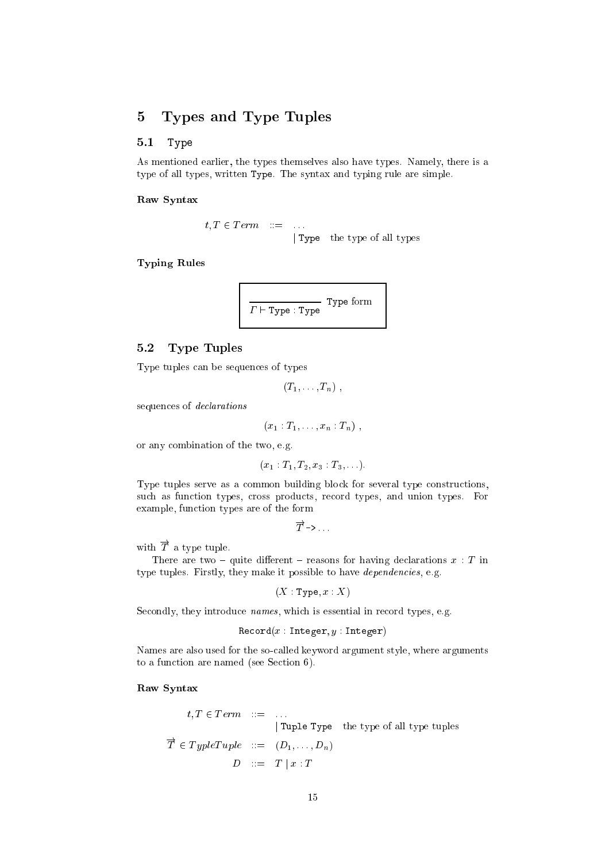#### Types and Type Tuples  $\overline{5}$

#### $5.1$ Type

As mentioned earlier, the types themselves also have types. Namely, there is a type of all types, written Type. The syntax and typing rule are simple.

Raw Syntax

 $t, T \in Term \quad ::= \quad \dots$ Type the type of all types

**Typing Rules** 



#### **Type Tuples**  $5.2$

Type tuples can be sequences of types

$$
(T_1,\ldots,T_n) ,
$$

sequences of *declarations* 

$$
(x_1:T_1,\ldots,x_n:T_n)\;,
$$

or any combination of the two, e.g.

$$
(x_1 : T_1, T_2, x_3 : T_3, \ldots).
$$

Type tuples serve as a common building block for several type constructions, such as function types, cross products, record types, and union types. For example, function types are of the form

$$
\overrightarrow{T}\rightarrow \ldots
$$

with  $\overrightarrow{T}$  a type tuple.

There are two – quite different – reasons for having declarations  $x : T$  in type tuples. Firstly, they make it possible to have *dependencies*, e.g.

$$
(X: \mathtt{Type}, x:X)
$$

Secondly, they introduce *names*, which is essential in record types, e.g.

$$
\mathtt{Record}(x:\mathtt{Integer}, y:\mathtt{Integer})
$$

Names are also used for the so-called keyword argument style, where arguments to a function are named (see Section 6).

## Raw Syntax

$$
t, T \in Term \quad ::= \quad ...
$$
  
 
$$
| \text{Tuple Type} \quad \text{the type of all type tuples}
$$
  
 
$$
\overrightarrow{T} \in TypeTuple \quad ::= \quad (D_1, ..., D_n)
$$
  
 
$$
D \quad ::= \quad T \mid x : T
$$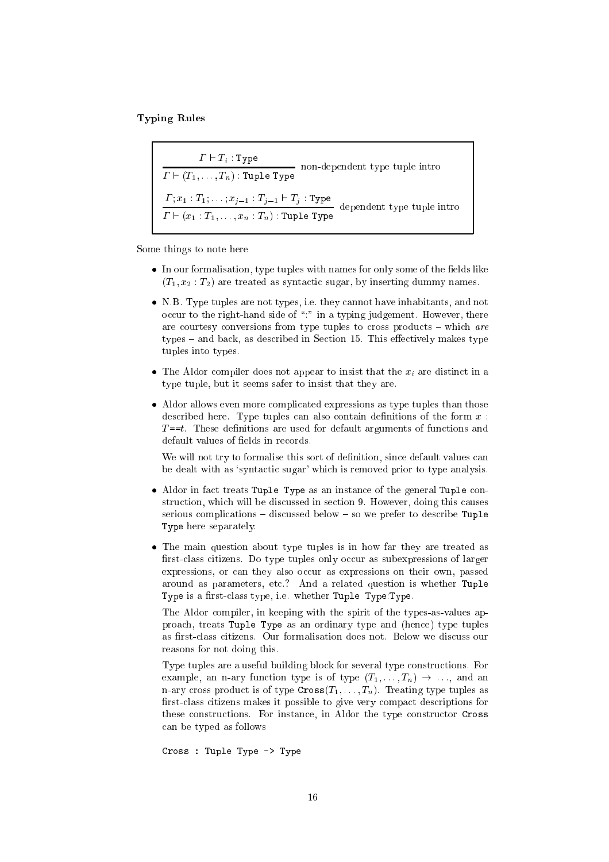$T<sub>1</sub>$  relations relations to the  $T<sub>2</sub>$ 

- - - *.* . - *.* . . non-dependent type tuple intro ` (T1; : : : ; Tn) : Tuple Type ; x1 : T1; : : : ; xj1 : Tj1 ` Tj : Type dependent type tuple intro - (x1 : T1; : : ; : 1, : Th) : The Type Type

Some things to note here

- $\bullet$  In our formalisation, type tuples with names for only some of the fields like  $(T_1, x_2 : T_2)$  are treated as syntactic sugar, by inserting dummy names.
- N.B. Type tuples are not types, i.e. they cannot have inhabitants, and not occur to the right-hand side of ":" in a typing judgement. However, there are courtesy conversions from type tuples to cross products  $-$  which are types – and back, as described in Section 15. This effectively makes type tuples into types.
- The Aldor compiler does not appear to insist that the  $x_i$  are distinct in a type tuple, but it seems safer to insist that they are.
- Aldor allows even more complicated expressions as type tuples than those described here. Type tuples can also contain definitions of the form  $x$ :  $T = t$ . These definitions are used for default arguments of functions and default values of fields in records.

We will not try to formalise this sort of definition, since default values can be dealt with as 'syntactic sugar' which is removed prior to type analysis.

- Aldor in fact treats Tuple Type as an instance of the general Tuple construction, which will be discussed in section 9. However, doing this causes serious complications  $-$  discussed below  $-$  so we prefer to describe Tuple Type here separately.
- The main question about type tuples is in how far they are treated as first-class citizens. Do type tuples only occur as subexpressions of larger expressions, or can they also occur as expressions on their own, passed around as parameters, et
.? And a related question is whether Tuple Type is a first-class type, i.e. whether Tuple Type:Type.

The Aldor compiler, in keeping with the spirit of the types-as-values approa
h, treats Tuple Type as an ordinary type and (hen
e) type tuples as first-class citizens. Our formalisation does not. Below we discuss our reasons for not doing this.

Type tuples are a useful building block for several type constructions. For example, an n-ary function type is of type  $(T_1, \ldots, T_n) \rightarrow \ldots$ , and an n-ary cross product is of type  $\text{Cross}(T_1, \ldots, T_n)$ . Treating type tuples as first-class citizens makes it possible to give very compact descriptions for these constructions. For instance, in Aldor the type constructor Cross an be typed as follows

Cross : Tuple Type -> Type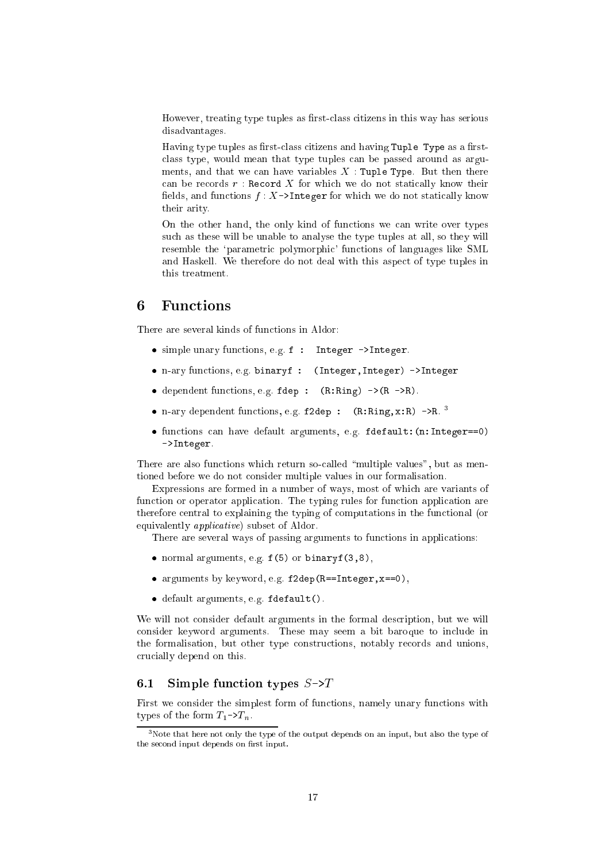However, treating type tuples as first-class citizens in this way has serious disadvantages.

Having type tuples as first-class citizens and having Tuple Type as a firstclass type, would mean that type tuples can be passed around as arguments, and that we can have variables  $X$ : Tuple Type. But then there can be records  $r$ : Record X for which we do not statically know their fields, and functions  $f: X \rightarrow$ Integer for which we do not statically know their arity.

On the other hand, the only kind of functions we can write over types su
h as these will be unable to analyse the type tuples at all, so they will resemble the 'parametric polymorphic' functions of languages like SML and Haskell. We therefore do not deal with this aspect of type tuples in this treatment.

## <sup>6</sup> Fun
tions

There are several kinds of functions in Aldor:

- simple unary functions, e.g. f : Integer ->Integer.
- n-ary fun
tions, e.g. binaryf : (Integer,Integer) ->Integer
- $\bullet$  dependent functions, e.g. fdep :  $(R: Ring)$  -> $(R > R)$ .
- $\bullet$  n-ary dependent functions, e.g. f2dep : (R:Ring,x:R) ->R.
- functions can have default arguments, e.g. fdefault: (n:Integer==0) ->Integer.

There are also functions which return so-called "multiple values", but as mentioned before we do not consider multiple values in our formalisation.

Expressions are formed in a number of ways, most of whi
h are variants of function or operator application. The typing rules for function application are therefore central to explaining the typing of computations in the functional (or equivalently *applicative*) subset of Aldor.

There are several ways of passing arguments to functions in applications:

- normal arguments, e.g.  $f(5)$  or binaryf $(3,8)$ ,
- arguments by keyword, e.g. f2dep(R==Integer,x==0),
- default arguments, e.g. fdefault().

We will not consider default arguments in the formal description, but we will onsider keyword arguments. These may seem a bit baroque to in
lude in the formalisation, but other type constructions, notably records and unions, ru
ially depend on this.

## 6.1 Simple function types  $S\rightarrow T$

First we onsider the simplest form of fun
tions, namely unary fun
tions with types of the form  $T_1 \rightarrow T_n$ .

 $3$ Note that here not only the type of the output depends on an input, but also the type of the second input depends on first input.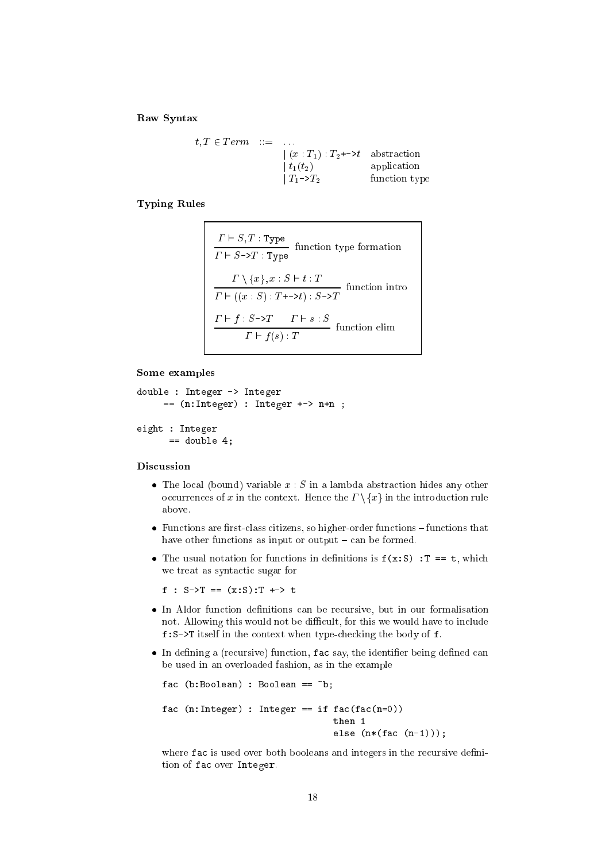Raw Syntax

$$
t, T \in Term \quad ::= \quad ... \n\begin{array}{ccc}\n\mid (x : T_1) : T_2 \rightarrow t \quad \text{abstraction} \\
\mid t_1(t_2) & \text{application} \\
\mid T_1 \rightarrow T_2 & \text{function type}\n\end{array}
$$

**Typing Rules** 

$$
\frac{\Gamma \vdash S, T : \text{Type}}{\Gamma \vdash S \rightarrow T : \text{Type}} \text{ function type formation}
$$
\n
$$
\frac{\Gamma \setminus \{x\}, x : S \vdash t : T}{\Gamma \vdash ((x : S) : T \rightarrow t) : S \rightarrow T} \text{ function intro}
$$
\n
$$
\frac{\Gamma \vdash f : S \rightarrow T \quad \Gamma \vdash s : S}{\Gamma \vdash f(s) : T} \text{ function elim}
$$

#### Some examples

```
double : Integer -> Integer
    == (n:Integer) : Integer +-> n+n ;eight : Integer
     == double 4;
```
## Discussion

- The local (bound) variable  $x : S$  in a lambda abstraction hides any other occurrences of x in the context. Hence the  $\Gamma \setminus \{x\}$  in the introduction rule above.
- $\bullet$  Functions are first-class citizens, so higher-order functions functions that have other functions as input or output  $-\text{ can be formed.}$
- The usual notation for functions in definitions is  $f(x:S)$ : T == t, which we treat as syntactic sugar for

f :  $S - \sum T = (x : S) : T \rightarrow Y$ 

- In Aldor function definitions can be recursive, but in our formalisation not. Allowing this would not be difficult, for this we would have to include  $f: S \rightarrow T$  itself in the context when type-checking the body of  $f$ .
- In defining a (recursive) function, fac say, the identifier being defined can be used in an overloaded fashion, as in the example

```
fac (b:Boolean) : Boolean == nb;
fac (n:Integer): Integer == if fac(fac(n=0))then 1
                                else (n*(fac (n-1)));
```
where fac is used over both booleans and integers in the recursive definition of fac over Integer.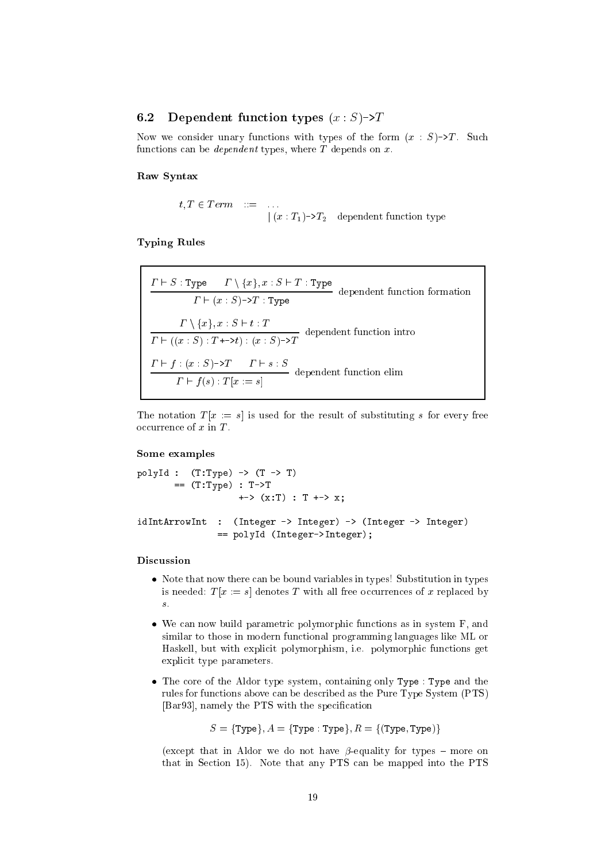#### $6.2$ Dependent function types  $(x : S)$ ->T

Now we consider unary functions with types of the form  $(x : S) \rightarrow T$ . Such functions can be *dependent* types, where  $T$  depends on  $x$ .

Raw Syntax

$$
t, T \in Term \quad ::= \quad \dots
$$
  
 
$$
| (x : T_1) \rightarrow T_2 \quad dependent function type
$$

**Typing Rules** 

$$
\frac{\Gamma \vdash S : \text{Type} \qquad \Gamma \setminus \{x\}, x : S \vdash T : \text{Type}}{\Gamma \vdash (x : S) \rightarrow T : \text{Type}}
$$
 dependent function formation\n
$$
\frac{\Gamma \setminus \{x\}, x : S \vdash t : T}{\Gamma \vdash ((x : S) : T \rightarrow t) : (x : S) \rightarrow T}
$$
 dependent function intro\n
$$
\frac{\Gamma \vdash f : (x : S) \rightarrow T \qquad \Gamma \vdash s : S}{\Gamma \vdash f(s) : T[x := s]}
$$
dependent function elim

The notation  $T[x := s]$  is used for the result of substituting s for every free occurrence of  $x$  in  $T$ .

## Some examples

```
polyId : (T:Type) -> (T \rightarrow T)== (T:Type) : T->T\leftarrow > (x:T) : T \leftarrow > x;
idIntArrowInt : (Integer -> Integer) -> (Integer -> Integer)
                 == polyId (Integer->Integer);
```
## Discussion

- Note that now there can be bound variables in types! Substitution in types is needed:  $T[x := s]$  denotes T with all free occurrences of x replaced by  $\boldsymbol{s}$  .
- $\bullet$  We can now build parametric polymorphic functions as in system F, and similar to those in modern functional programming languages like ML or Haskell, but with explicit polymorphism, i.e. polymorphic functions get explicit type parameters.
- The core of the Aldor type system, containing only Type : Type and the rules for functions above can be described as the Pure Type System (PTS) [Bar93], namely the PTS with the specification

 $S = {Type}, A = {Type : Type}, R = { (Type, Type)}$ 

(except that in Aldor we do not have  $\beta$ -equality for types – more on that in Section 15). Note that any PTS can be mapped into the PTS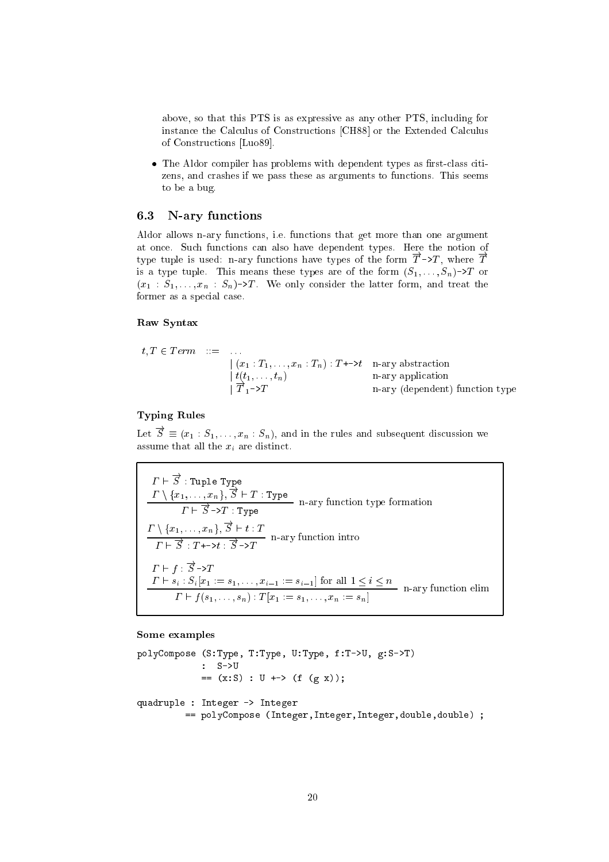above, so that this PTS is as expressive as any other PTS, including for instance the Calculus of Constructions [CH88] or the Extended Calculus of Constructions [Luo89].

• The Aldor compiler has problems with dependent types as first-class citizens, and crashes if we pass these as arguments to functions. This seems to be a bug.

#### 6.3 N-ary functions

Aldor allows n-ary functions, i.e. functions that get more than one argument at once. Such functions can also have dependent types. Here the notion of type tuple is used: n-ary functions have types of the form  $\overrightarrow{T}$  ->T, where  $\overrightarrow{T}$ is a type tuple. This means these types are of the form  $(S_1, \ldots, S_n)$ - $\geq T$  or  $(x_1 : S_1, \ldots, x_n : S_n)$ ->T. We only consider the latter form, and treat the former as a special case.

## Raw Syntax

$$
t, T \in Term \quad ::= \quad \dots
$$
\n
$$
\begin{array}{rcl}\n\mid (x_1 : T_1, \dots, x_n : T_n) : T \rightarrow t \\
\mid t(t_1, \dots, t_n) & \text{n-ary application} \\
\mid T_1 \rightarrow T & \text{n-ary (dependent) function type}\n\end{array}
$$

## **Typing Rules**

Let  $\vec{S} \equiv (x_1 : S_1, \ldots, x_n : S_n)$ , and in the rules and subsequent discussion we assume that all the  $\boldsymbol{x}_i$  are distinct.

$$
\Gamma \vdash \overrightarrow{S} : \text{Tuple Type}
$$
\n
$$
\frac{\Gamma \setminus \{x_1, \ldots, x_n\}, \overrightarrow{S} \vdash T : \text{Type}}{\Gamma \vdash \overrightarrow{S} \rightarrow T : \text{Type}}
$$
\n
$$
\frac{\Gamma \setminus \{x_1, \ldots, x_n\}, \overrightarrow{S} \vdash t : T}{\Gamma \vdash \overrightarrow{S} : T \vdash \rightarrow t : \overrightarrow{S} \rightarrow T}
$$
\n
$$
\frac{\Gamma \vdash f : \overrightarrow{S} \rightarrow T}{\Gamma \vdash s_i : S_i[x_1 := s_1, \ldots, x_{i-1} := s_{i-1}] \text{ for all } 1 \leq i \leq n}
$$
\n
$$
\frac{\Gamma \vdash s_i : S_i[x_1 := s_1, \ldots, x_{i-1} := s_{i-1}] \text{ for all } 1 \leq i \leq n}{\Gamma \vdash f(s_1, \ldots, s_n) : T[x_1 := s_1, \ldots, x_n := s_n]}
$$
\n
$$
\text{n-ary function elim}
$$

Some examples

```
polyCompose (S:Type, T:Type, U:Type, f:T->U, g:S->T)
             : S->U== (x: S) : U \rightarrow > (f (g x));quadruple : Integer -> Integer
         == polyCompose (Integer, Integer, Integer, double, double) ;
```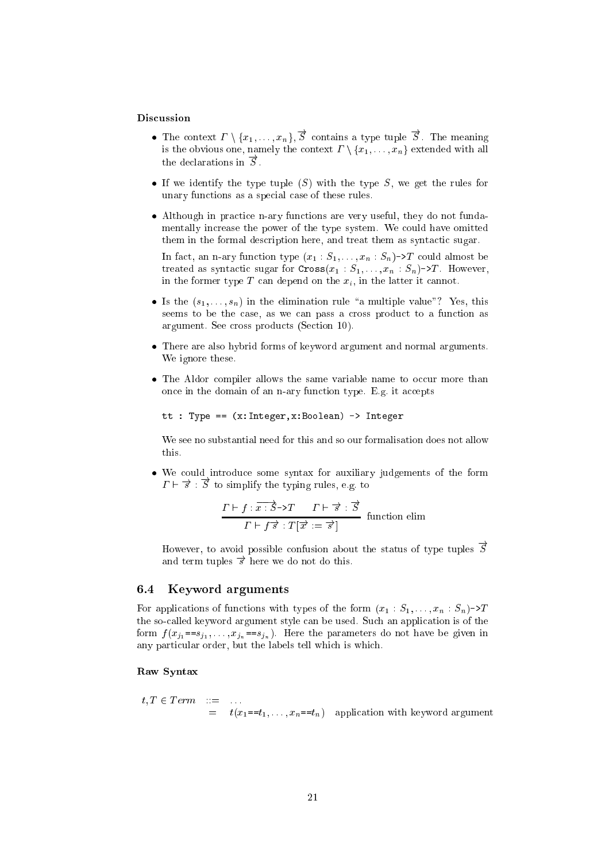## Discussion

- The context  $\Gamma \setminus \{x_1, \ldots, x_n\}, \overrightarrow{S}$  contains a type tuple  $\overrightarrow{S}$ . The meaning is the obvious one, namely the context  $\Gamma \setminus \{x_1, \ldots, x_n\}$  extended with all the declarations in  $\vec{S}$ .
- If we identify the type tuple  $(S)$  with the type S, we get the rules for unary functions as a special case of these rules.
- Although in practice n-ary functions are very useful, they do not fundamentally increase the power of the type system. We could have omitted them in the formal description here, and treat them as syntactic sugar.

In fact, an n-ary function type  $(x_1 : S_1, \ldots, x_n : S_n)$ ->T could almost be treated as syntactic sugar for  $Cross(x_1 : S_1, \ldots, x_n : S_n)$ ->T. However, in the former type  $T$  can depend on the  $x_i$ , in the latter it cannot.

- Is the  $(s_1, \ldots, s_n)$  in the elimination rule "a multiple value"? Yes, this seems to be the case, as we can pass a cross product to a function as argument. See cross products (Section 10).
- There are also hybrid forms of keyword argument and normal arguments. We ignore these.
- The Aldor compiler allows the same variable name to occur more than once in the domain of an n-ary function type. E.g. it accepts

tt : Type ==  $(x:Integer, x:Boolean)$  -> Integer

 $\ddot{\phantom{a}}$ 

We see no substantial need for this and so our formalisation does not allow this.

We could introduce some syntax for auxiliary judgements of the form  $\Gamma \vdash \overrightarrow{s} : \overrightarrow{S}$  to simplify the typing rules, e.g. to

$$
\frac{\Gamma \vdash f : \overline{x} : \overrightarrow{S} \to T \quad \Gamma \vdash \overrightarrow{s} : \overrightarrow{S}}{\Gamma \vdash f \overrightarrow{s} : T[\overrightarrow{x} : = \overrightarrow{s}]} \quad \text{function elim}
$$

However, to avoid possible confusion about the status of type tuples  $\vec{S}$ and term tuples  $\vec{s}$  here we do not do this.

#### 6.4 Keyword arguments

For applications of functions with types of the form  $(x_1 : S_1, \ldots, x_n : S_n) \rightarrow T$ the so-called keyword argument style can be used. Such an application is of the form  $f(x_{i_1} == s_{i_1}, \ldots, x_{i_n} == s_{i_n})$ . Here the parameters do not have be given in any particular order, but the labels tell which is which.

## Raw Syntax

 $t, T \in Term \quad ::= \quad \dots$ <br>=  $t(x_1 == t_1, \dots, x_n == t_n)$  application with keyword argument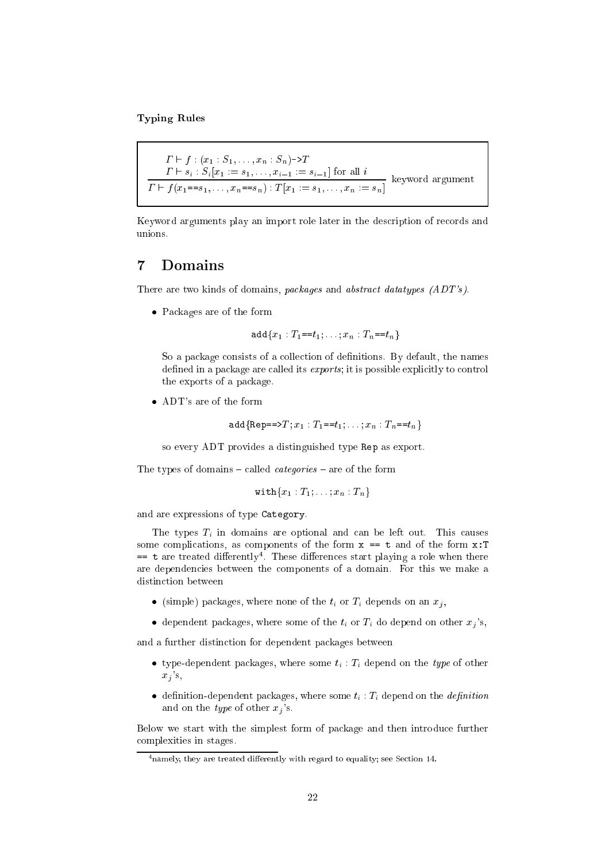**Typing Rules** 

```
\Gamma \vdash f : (x_1 : S_1, \ldots, x_n : S_n) \rightarrow T\frac{\Gamma \vdash s_i : S_i[x_1 := s_1, \ldots, x_{i-1} := s_{i-1}] \text{ for all } i}{\Gamma \vdash f(x_1 == s_1, \ldots, x_n == s_n) : T[x_1 := s_1, \ldots, x_n := s_n]}keyword argument
```
Keyword arguments play an import role later in the description of records and unions.

#### $\overline{7}$ Domains

There are two kinds of domains, packages and abstract datatypes (ADT's).

 $\bullet$  Packages are of the form

 $\text{add}\{x_1: T_1 = t_1; \ldots; x_n: T_n = t_n\}$ 

So a package consists of a collection of definitions. By default, the names defined in a package are called its *exports*; it is possible explicitly to control the exports of a package.

• ADT's are of the form

$$
\mathtt{add}\{\mathtt{Rep} == \gt{T}; x_1 : T_1 == t_1; \ldots; x_n : T_n == t_n\}
$$

so every ADT provides a distinguished type Rep as export.

The types of domains – called *categories* – are of the form

$$
\texttt{with}\{x_1:T_1;\ldots;x_n:T_n\}
$$

and are expressions of type Category.

The types  $T_i$  in domains are optional and can be left out. This causes some complications, as components of the form  $x == t$  and of the form  $x : T$  $=$  t are treated differently<sup>4</sup>. These differences start playing a role when there are dependencies between the components of a domain. For this we make a distinction between

- (simple) packages, where none of the  $t_i$  or  $T_i$  depends on an  $x_i$ ,
- dependent packages, where some of the  $t_i$  or  $T_i$  do depend on other  $x_i$ 's,

and a further distinction for dependent packages between

- type-dependent packages, where some  $t_i$ :  $T_i$  depend on the type of other  $x_i$ 's,
- definition-dependent packages, where some  $t_i$ :  $T_i$  depend on the *definition* and on the *type* of other  $x_j$ 's.

Below we start with the simplest form of package and then introduce further complexities in stages.

 $4$  namely, they are treated differently with regard to equality; see Section 14.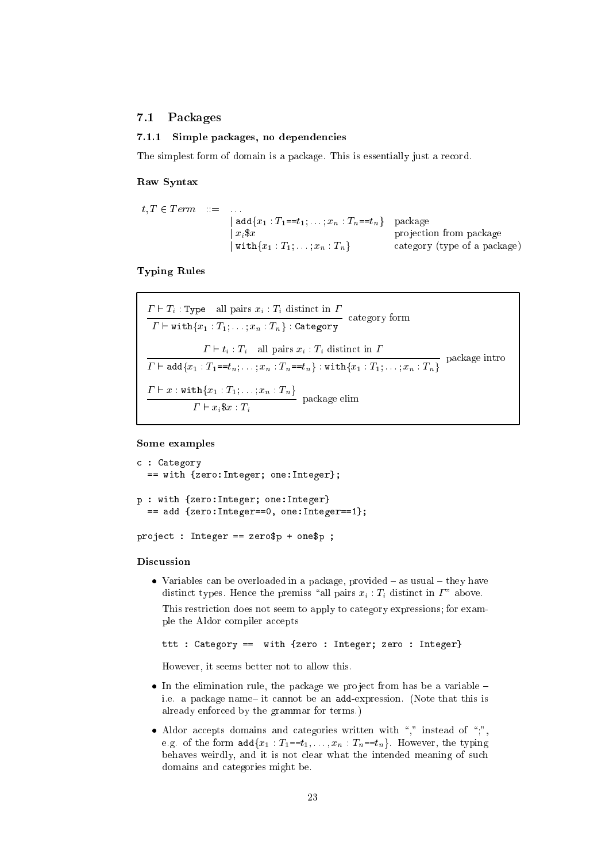#### 7.1Pa
kages

#### 7.1.1 Simple pa
kages, no dependen
ies

The simplest form of domain is a package. This is essentially just a record.

#### Raw Syntax

$$
t, T \in Term \quad ::= \quad \dots \quad \text{add}\{x_1 : T_1 = t_1; \dots; x_n : T_n = t_n\} \quad \text{package} \quad \text{projection from package} \quad \text{projection from package} \quad \text{without}\{x_1 : T_1; \dots; x_n : T_n\} \quad \text{category (type of a package)}
$$

#### Typing Rules

$$
\frac{\Gamma \vdash T_i : \text{Type}\quad \text{all pairs } x_i : T_i \text{ distinct in } \Gamma}{\Gamma \vdash \text{with}\{x_1 : T_1; \ldots; x_n : T_n\} : \text{Category} } \text{category} \text{ form}
$$
\n
$$
\frac{\Gamma \vdash t_i : T_i \quad \text{all pairs } x_i : T_i \text{ distinct in } \Gamma}{\Gamma \vdash \text{add}\{x_1 : T_1 = t_n; \ldots; x_n : T_n = t_n\} : \text{with}\{x_1 : T_1; \ldots; x_n : T_n\}} \text{ package into}
$$
\n
$$
\frac{\Gamma \vdash x : \text{with}\{x_1 : T_1; \ldots; x_n : T_n\}}{\Gamma \vdash x_i \$ x : T_i} \text{ package elim}
$$

#### Some examples

```

 : Category
    \sim with \sim \sim Integer; one:Integer; one:Integer; one:Integer; one:Integer; one:Integer; one:Integer; one:Integer; one:Integer; one:Integer; one:Integer; one:Integer; one:Integer; one:Integer; one:Integer; one:Intege
p : with {zero:Integer; one:Integer}
    == add {zero:Integer==0, one:Integer==1};
```
project : <del>- - : - - - - - - - - - - - - - -</del> - -

### **Discussion**

 Variables an be overloaded in a pa
kage, provided { as usual { they have distinct types. Hence the premiss "all pairs  $x_i : T_i$  distinct in  $\Gamma$ " above. This restriction does not seem to apply to category expressions; for example the Aldor compiler accepts

ttt : Category == with {zero : Integer; zero : Integer}

However, it seems better not to allow this.

- the the elimination rule, the partnership we project to the from the contracts. i.e. a package name it cannot be an add-expression. (Note that this is already enfor
ed by the grammar for terms.)
- Aldor a

epts domains and ategories written with \," instead of \;", e.g. of the form  $\text{add}\{x_1 : T_1 = t_1, \ldots, x_n : T_n = t_n\}$ . However, the typing behaves weirdly, and it is not clear what the intended meaning of such domains and ategories might be.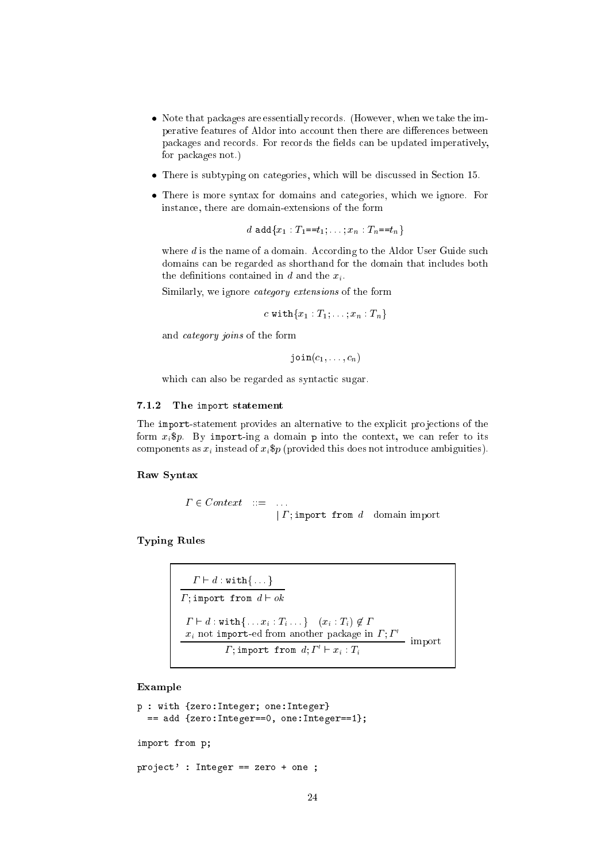- Note that pa
kages are essentially re
ords. (However, when we take the imperative features of Aldor into account then there are differences between packages and records. For records the fields can be updated imperatively, for pa
kages not.)
- There is subtyping on ategories, whi
h will be dis
ussed in Se
tion 15.
- There is more syntax for domains and ategories, whi
h we ignore. For instan
e, there are domain-extensions of the form

d add ${x_1 : T_1 = t_1; \ldots; x_n : T_n = t_n}$ 

where  $d$  is the name of a domain. According to the Aldor User Guide such domains can be regarded as shorthand for the domain that includes both the definitions contained in d and the  $x_i$ .

Similarly, we ignore *category* extensions of the form

c with ${x_1 : T_1; \ldots; x_n : T_n}$ 

and ategory joins of the form

 $\text{join}(c_1, \ldots, c_n)$ 

which can also be regarded as syntactic sugar.

#### 7.1.2 The import statement

The import-statement provides an alternative to the explicit projections of the form  $x_i$ \$p. By import-ing a domain p into the context, we can refer to its components as  $x_i$  instead of  $x_i$ \$p (provided this does not introduce ambiguities).

#### Raw Syntax

$$
\begin{array}{rcl}\n\Gamma \in Context & ::= & \dots \\
\mid \Gamma; \text{import from } d \text{ domain import} \\
\end{array}
$$

 $T<sub>1</sub>$  relations relations to the  $T<sub>2</sub>$ 

 ` <sup>d</sup> : withf : : : <sup>g</sup> ; import from d  $\mathbf{r}$  importance from d  $\mathbf{r}$  of  $\mathbf{r}$  on d  $\mathbf{r}$  of  $\mathbf{r}$  on d  $\mathbf{r}$  ` <sup>d</sup> : withf : : : xi : Ti : : : <sup>g</sup> (xi : Ti) <sup>62</sup>  $x_i$  not import-ed from another package in  $i : I$  import<br>  $\Gamma$ ; import from  $d; \Gamma' \vdash x_i : T_i$ 

#### Example

```
p : with {zero:Integer; one:Integer}
  == add {zero:Integer==0, one:Integer==1};
import from p;
proje
t' : Integer == zero + one ;
```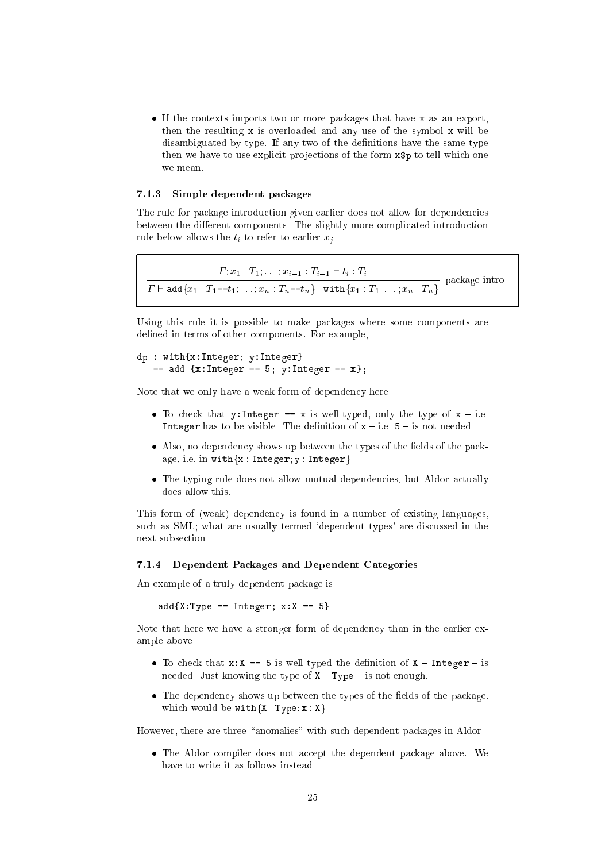if the contexts the part of the more particularly that is no more than  $\alpha$ then the resulting <sup>x</sup> is overloaded and any use of the symbol <sup>x</sup> will be disambiguated by type. If any two of the definitions have the same type then we have to use explicit projections of the form  $\mathbf{x}\mathbf{\$p}$  to tell which one we mean.

### 7.1.3 Simple dependent pa
kages

The rule for pa
kage introdu
tion given earlier does not allow for dependen
ies between the different components. The slightly more complicated introduction rule below allows the  $t_i$  to refer to earlier  $x_i$ :

 ; x1 : T1; : : : ; xi1 : Ti1 ` ti : Ti pa
kage intro ` addfx1 : T1==t1; : : : ; xn : Tn==tng : withfx1 : T1; : : : ; xn : Tng

Using this rule it is possible to make packages where some components are defined in terms of other components. For example,

```
dp : with \mathbf{x} is a set of \mathbf{x} is a set of \mathbf{x} is a set of \mathbf{x} is a set of \mathbf{x}== add {x:Integer == 5; y:Integer == x};
```
Note that we only have a weak form of dependency here:

- To he
k that y:Integer == <sup>x</sup> is well-typed, only the type of <sup>x</sup> { i.e. Integer has to be visible. The denition of <sup>x</sup> { i.e. <sup>5</sup> { is not needed.
- Also, no dependen
y shows up between the types of the elds of the pa
kage, i.e. in with $\{x : Integer; y : Integer\}.$
- the typing rule does not allow mutual dependence of productions who allowed mutually does allow this.

This form of (weak) dependen
y is found in a number of existing languages, such as SML; what are usually termed 'dependent types' are discussed in the next subse
tion.

#### 7.1.4 Dependent Pa
kages and Dependent Categories

An example of a truly dependent pa
kage is

add{X:Type == Integer; x:X == 5}

Note that here we have a stronger form of dependency than in the earlier example above:

- To the set of the state  $\mathcal{L}$  is well-typed the definition of  $\mathcal{L}$  and  $\mathcal{L}$ needed. Just knowing the type of  $X - Type -$  is not enough.
- the dependency shows up the types of the two the the theory of the pathway which would be  $with\{X : Type; x : X\}.$

However, there are three "anomalies" with such dependent packages in Aldor:

the above. We also the dottor and the dependent parameter and the state have to write it as follows instead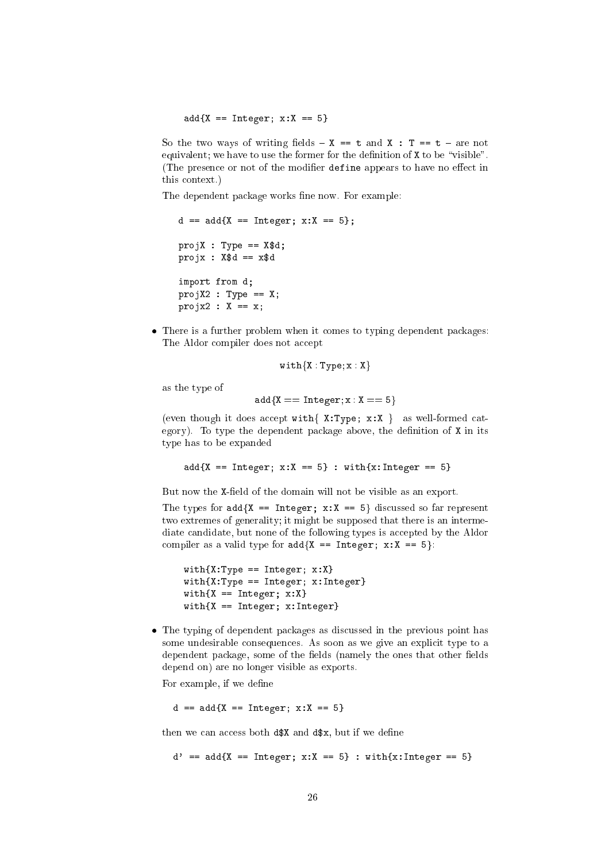add{X == Integer; x:X == 5}

So the two ways of writing fields  $- x == t$  and  $x : T == t - are not$ equivalent; we have to use the former for the definition of  $X$  to be "visible". (The presence or not of the modifier define appears to have no effect in this ontext.)

The dependent package works fine now. For example:

```
d == add{X == Integer; x:X == 5};
projX : Type == X$d;
project : 200 project : 200 project : 200 project : 200 project : 200 project : 200 project : 200 project : 20
import from d;
projX2 : Type == X;
project : X == xx;
```
 There is a further problem when it omes to typing dependent pa
kages: The Aldor compiler does not accept

$$
\mathtt{with}\{X:Type, x:X\}
$$

as the type of

$$
add{X == Integer; x : X == 5}
$$

(even though it does accept with  $\{ X: Type; x: X \}$  as well-formed category). To type the dependent package above, the definition of  $X$  in its type has to be expanded

add(x:X == Integer; x:X == 5} : with {x:Integer == 5}

But now the X-field of the domain will not be visible as an export.

The types for  $add\{X == Integer; x:X == 5\}$  discussed so far represent two extremes of generality; it might be supposed that there is an intermediate candidate, but none of the following types is accepted by the Aldor compiler as a valid type for  $add\{X == Integer; x:X == 5\}$ :

```
with \mathcal{X}: T \times T \times T \times T . In the property of \mathcal{X}: Twith \mathbb{Z}: Type \mathbb{Z} integers; \mathbb{Z} integers; \mathbb{Z} in \mathbb{Z}with \mathbf{x} = \mathbf{x} + \mathbf{x} + \mathbf{x} + \mathbf{x} + \mathbf{x} + \mathbf{x} + \mathbf{x} + \mathbf{x} + \mathbf{x} + \mathbf{x} + \mathbf{x} + \mathbf{x} + \mathbf{x} + \mathbf{x} + \mathbf{x} + \mathbf{x} + \mathbf{x} + \mathbf{x} + \mathbf{x} + \mathbf{x} + \mathbf{x} + \mathbf{x} + \mathbf{x} + \mathbf{x} + \mathbf{x} + \mathbf{x} + \mathbf{x} + \mathbf{x} + \mathbf{x} + \mathbf{x} + \mathbf{x} + \mathbf{x} + \mathbf{x} + \mathbf{x} + \mathbf{x}with \frac{1}{\sqrt{2}} . In the set of \frac{1}{\sqrt{2}} , we have the set of \frac{1}{\sqrt{2}}
```
the typing in the present parameter as distributed in the previous point  $\mathbb{R}^n$ some undesirable consequences. As soon as we give an explicit type to a dependent package, some of the fields (namely the ones that other fields depend on) are no longer visible as exports.

For example, if we define

 $\blacksquare$  ==  $\blacksquare$ 

then we can access both  $d$ \$X and  $d$ \$x, but if we define

d' ==  $add\{X == Integer; x:X == 5\}$  : with $\{x:\text{Interger} == 5\}$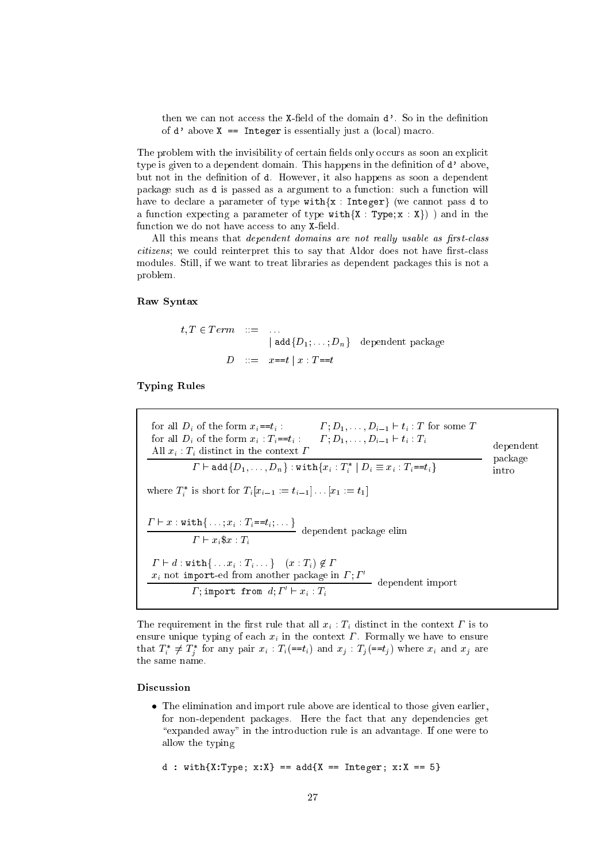then we can not access the X-field of the domain d'. So in the definition of  $d'$  above  $X ==$  Integer is essentially just a (local) macro.

The problem with the invisibility of certain fields only occurs as soon an explicit type is given to a dependent domain. This happens in the definition of d'above, but not in the definition of d. However, it also happens as soon a dependent package such as d is passed as a argument to a function: such a function will have to declare a parameter of type with {x : Integer} (we cannot pass d to a function expecting a parameter of type with  $\{X : Type; x : X\}$ ) and in the function we do not have access to any X-field.

All this means that *dependent domains* are not really usable as first-class citizens; we could reinterpret this to say that Aldor does not have first-class modules. Still, if we want to treat libraries as dependent packages this is not a problem.

## Raw Syntax

$$
t, T \in Term \quad ::= \quad ...
$$
  
\n
$$
| \text{ add} \{D_1; \dots; D_n\} \quad \text{dependent package}
$$
  
\n
$$
D \quad ::= \quad x == t \mid x : T == t
$$

**Typing Rules** 

| for all $D_i$ of the form $x_i = t_i$ .<br>$\Gamma: D_1, \ldots, D_{i-1} \vdash t_i : T$ for some T<br>$\Gamma: D_1, \ldots, D_{i-1} \vdash t_i : T_i$<br>for all $D_i$ of the form $x_i$ : $T_i = t_i$ :<br>All $x_i$ : $T_i$ distinct in the context $\Gamma$ | dependent<br>package |
|-----------------------------------------------------------------------------------------------------------------------------------------------------------------------------------------------------------------------------------------------------------------|----------------------|
| $\Gamma \vdash \mathtt{add}\{D_1,\ldots,D_n\}$ : with $\{x_i : T_i^* \mid D_i \equiv x_i : T_i = t_i\}$                                                                                                                                                         | intro                |
| where $T_i^*$ is short for $T_i[x_{i-1} := t_{i-1}] \dots [x_1 := t_1]$                                                                                                                                                                                         |                      |
| $T \vdash x : \text{with} \{ \ldots; x_i : T_i = t_i; \ldots \}$ dependent package elim<br>$\Gamma \vdash x_i \$ x : T_i$                                                                                                                                       |                      |
| $\Gamma \vdash d : \text{with} \{ \dots x_i : T_i \dots \} \quad (x : T_i) \notin \Gamma$<br>$x_i$ not import-ed from another package in $\Gamma$ : $\Gamma'$<br>dependent import                                                                               |                      |
| $\Gamma$ ; import from $d$ ; $\Gamma' \vdash x_i : T_i$                                                                                                                                                                                                         |                      |

The requirement in the first rule that all  $x_i : T_i$  distinct in the context  $\Gamma$  is to ensure unique typing of each  $x_i$  in the context  $\Gamma$ . Formally we have to ensure that  $T_i^* \neq T_j^*$  for any pair  $x_i : T_i (=t_i)$  and  $x_j : T_j (=t_j)$  where  $x_i$  and  $x_j$  are the same name.

## Discussion

• The elimination and import rule above are identical to those given earlier, for non-dependent packages. Here the fact that any dependencies get "expanded away" in the introduction rule is an advantage. If one were to allow the typing

d : with ${X:Type; x:X}$  == add ${X == Integer; x:X == 5}$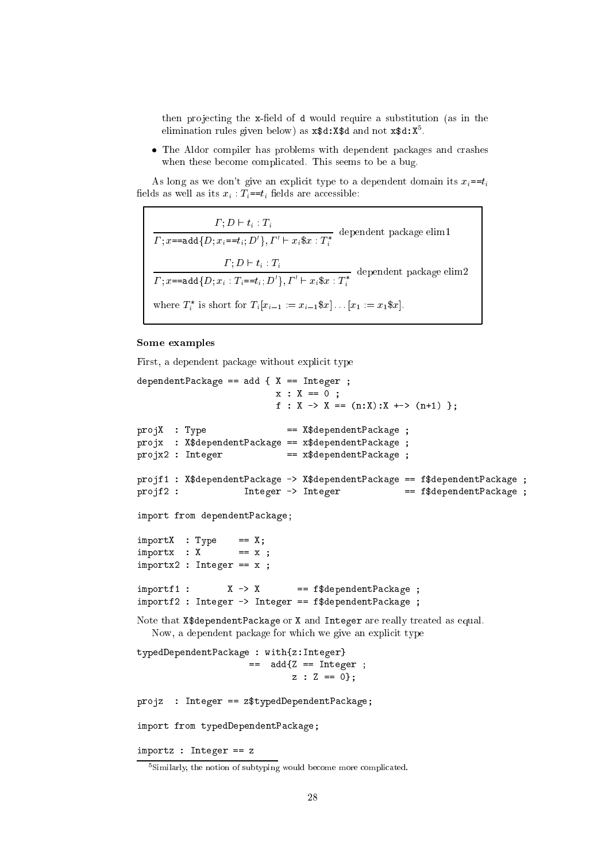then projecting the x-field of d would require a substitution (as in the elimination rules given below) as  $x$ \$d:X\$d and not  $x$ \$d:X<sup>5</sup>.

• The Aldor compiler has problems with dependent packages and crashes when these become complicated. This seems to be a bug.

As long as we don't give an explicit type to a dependent domain its  $x_i = t_i$ fields as well as its  $x_i$ :  $T_i = t_i$  fields are accessible:

 $\frac{\Gamma; D \vdash t_i : T_i}{\Gamma; x \texttt{---} \texttt{add} \{D; x_i \texttt{---} t_i; D'\}, \Gamma' \vdash x_i \$ x : T_i^*} \text{ dependent package elim1}$  $\frac{\varGamma;D\vdash t_i:T_i}{\varGamma;x\texttt{=-add}\{D;x_i:T_i\texttt{==}t_i;D'\},\varGamma'\vdash x_i\$x:T_i^*}\;\;\text{dependent package elim2}$ where  $T_i^*$  is short for  $T_i[x_{i-1} := x_{i-1} \, \$x] \dots [x_1 := x_1 \, \$x]$ .

## Some examples

First, a dependent package without explicit type

```
dependentPackage == add { X == Integer ;
                         x : X == 0;f : X -> X == (n:X):X +-> (n+1) };
projX : Type
                           == X$dependentPackage ;
projx : X$dependentPackage == x$dependentPackage ;
projx2 : Integer
                      == x$dependentPackage ;
projf1 : X$dependentPackage -> X$dependentPackage == f$dependentPackage ;
                   Integer -> Integer
                                                == f$dependentPackage ;
projf2:
import from dependentPackage;
                == X;importX : Type
importx : X
                 = x ;
importx2 : Integer == x ;import1: X \rightarrow X == f$dependentPackage ;
importf2 : Integer -> Integer == f$dependentPackage ;
Note that X$dependentPackage or X and Integer are really treated as equal.
  Now, a dependent package for which we give an explicit type
typedDependentPackage : with{z:Integer}
                    == add\{Z == Integer ;
                             z : Z == 0:
projz : Integer == z$typedDependentPackage;
import from typedDependentPackage;
```
importz : Integer == z

<sup>&</sup>lt;sup>5</sup>Similarly, the notion of subtyping would become more complicated.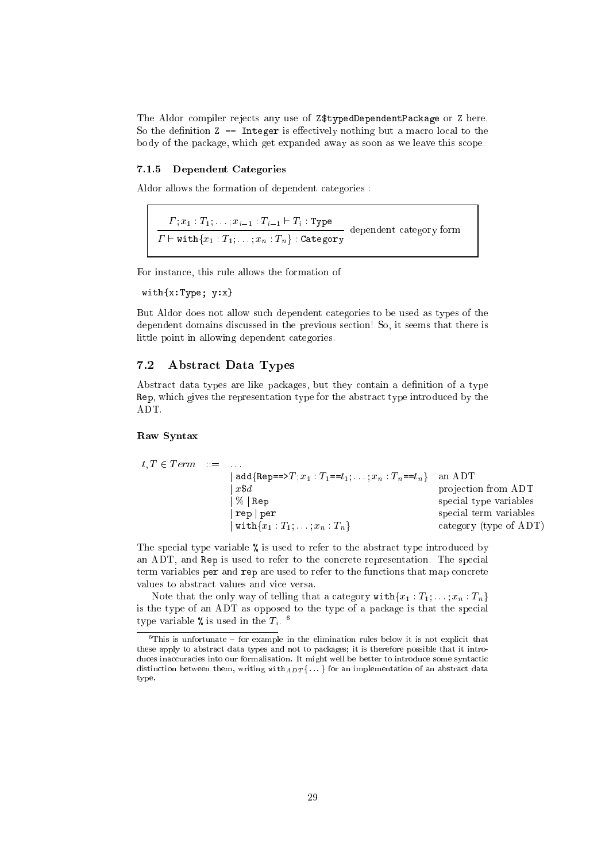The Aldor compiler rejects any use of Z\$typedDependentPackage or Z here. So the definition  $Z = Integer$  is effectively nothing but a macro local to the body of the pa
kage, whi
h get expanded away as soon as we leave this s
ope.

## 7.1.5 Dependent Categories

Aldor allows the formation of dependent ategories :

 ; x1 : T1; : : : ; xi1 : Ti1 ` Ti : Type dependent ategory form ` withfx1 : T1; : : : ; xn : Tng : Category

For instan
e, this rule allows the formation of

```
with{x:Type; y:x}
```
But Aldor does not allow su
h dependent ategories to be used as types of the dependent domains dis
ussed in the previous se
tion! So, it seems that there is little point in allowing dependent ategories.

## 7.2 Abstra
t Data Types

Abstract data types are like packages, but they contain a definition of a type Rep, which gives the representation type for the abstract type introduced by the ADT.

#### Raw Syntax

$$
t, T \in Term \quad ::= \quad \dots \quad \text{add} \{ \text{Rep} == > T; x_1 : T_1 == t_1; \dots; x_n : T_n == t_n \} \quad \text{an ADT} \quad \text{projection from ADT} \quad \text{projection from ADT} \quad \text{special type variables} \quad \text{rep} \quad \text{rep} \quad \text{pre} \quad \text{rep} \quad \text{pre} \quad \text{switch} \{ x_1 : T_1; \dots; x_n : T_n \} \quad \text{categorical term variables} \quad \text{category (type of ADT)}
$$

The special type variable % is used to refer to the abstract type introduced by an ADT, and Rep is used to refer to the concrete representation. The special term variables per and rep are used to refer to the functions that map concrete values to abstract values and vice versa.

Note that the only way of telling that a category  $\text{with}\{x_1 : T_1; \ldots; x_n : T_n\}$ is the type of an ADT as opposed to the type of a package is that the special type variable  $\kappa$  is used in the  $T_i$ .

 $\cdot$  rms is unfortunate  $\texttt{=}$  for example in the elimination rules below it is not explicit that these apply to abstra
t data types and not to pa
kages; it is therefore possible that it introduction there is no the some synthesis in the complete that is not the synthetic synthetic synthetics. distinction between them, writing  $\texttt{with}_{ADT}$  f  $\ldots$  for an implementation of an abstract data type.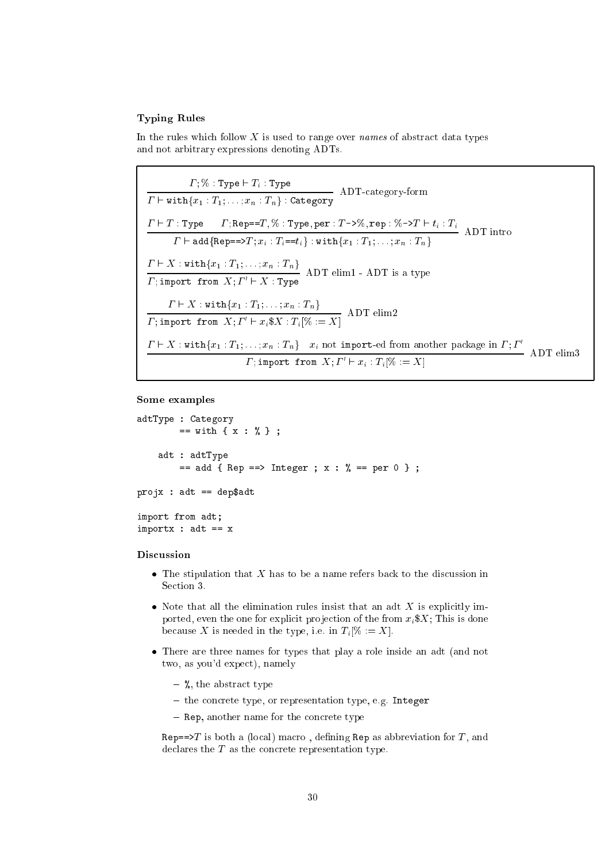## **Typing Rules**

In the rules which follow  $X$  is used to range over *names* of abstract data types and not arbitrary expressions denoting ADTs.

$$
\Gamma; \mathcal{H}: \text{Type} \vdash T_i : \text{Type}
$$
 ADT-category-form  
\n
$$
\Gamma \vdash \text{with}\{x_1 : T_1; \ldots; x_n : T_n\} : \text{Category} \quad \text{ADT-category-form}
$$
\n
$$
\frac{\Gamma \vdash T : \text{Type} \quad \Gamma; \text{Rep} == T, \mathcal{H} : \text{Type}, \text{per} : T \rightarrow \mathcal{H}, \text{rep} : \mathcal{H} \rightarrow T \land \Gamma \text{ into } \Gamma \vdash \text{add}\{\text{Rep} == \text{supp} = \text{supp} : x_i : T_i == t_i\} : \text{with}\{x_1 : T_1; \ldots; x_n : T_n\} \quad \text{ADT} \quad \text{ADT} \text{ into } \Gamma \vdash X : \text{with}\{x_1 : T_1; \ldots; x_n : T_n\} \quad \text{ADT} \quad \text{elim1 - ADT} \text{ is a type}
$$
\n
$$
\frac{\Gamma \vdash X : \text{with}\{x_1 : T_1; \ldots; x_n : T_n\}}{\Gamma; \text{import from } X; \Gamma' \vdash x_i \$X : T_i[\mathcal{H} := X]} \quad \text{ADT} \quad \text{elim2}
$$
\n
$$
\frac{\Gamma \vdash X : \text{with}\{x_1 : T_1; \ldots; x_n : T_n\} \quad x_i \text{ not import-ed from another package in } \Gamma; \Gamma' \quad \Gamma \vdash \text{im3}}{\Gamma; \text{import from } X; \Gamma' \vdash x_i : T_i[\mathcal{H} := X]} \quad \text{ADT} \quad \text{elim3}
$$

## Some examples

```
adtType : Category
        == with { x : % } ;
   adt : adtType
       == add { Rep ==> Integer ; x : % == per 0 } ;
projx : adt == dep$adtimport from adt;
importx : adt == x
```
## **Discussion**

- The stipulation that  $X$  has to be a name refers back to the discussion in Section 3.
- Note that all the elimination rules insist that an adt  $X$  is explicitly imported, even the one for explicit projection of the from  $x_i$ \$X; This is done because X is needed in the type, i.e. in  $T_i[\% := X]$ .
- There are three names for types that play a role inside an adt (and not two, as you'd expect), namely
	- $-$  %, the abstract type
	- the concrete type, or representation type, e.g. Integer
	- Rep, another name for the concrete type

Rep==>T is both a (local) macro, defining Rep as abbreviation for T, and declares the  $T$  as the concrete representation type.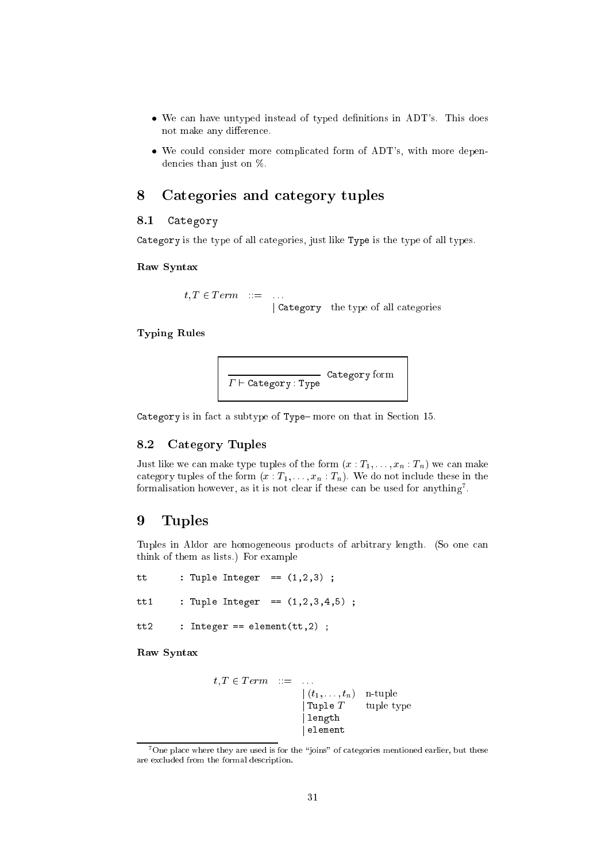- We can have untyped instead of typed definitions in ADT's. This does not make any difference.
- We could consider more complicated form of ADT's, with more dependencies than just on  $\%$ .

#### 8Categories and ategory tuples

#### 8.1Category

Category is the type of all ategories, just like Type is the type of all types.

Raw Syntax

 $t, T \in Term \quad ::= \quad \ldots$ <sup>j</sup> Category the type of all ategories

 $T<sub>1</sub>$  relations relations to the  $T<sub>2</sub>$ 

$$
\overbrace{\Gamma \vdash \texttt{Category}: \texttt{Type}} \texttt{Category form}
$$

t a subtype  $\mu$  , and the subtypeful section is the section of the section of the section of  $\mu$ 

#### Category Tuples 8.2

Just like we can make type tuples of the form  $(x: T_1, \ldots, x_n: T_n)$  we can make category tuples of the form  $(x : T_1, \ldots, x_n : T_n)$ . We do not include these in the formalisation however, as it is not lear if these an be used for anything7 .

#### 9Tuples

Tuples in Aldor are homogeneous products of arbitrary length. (So one can think of them as lists.) For example

tt: Tuple Integer ==  $(1,2,3)$  ; tt1 : Tuple Integer == (1,2,3,4,5) ; tt2: Integer == element $(tt, 2)$  ;

Raw Syntax

$$
t, T \in Term \quad ::= \quad \dots
$$
\n
$$
\begin{array}{rcl}\n(t_1, \dots, t_n) & \text{n-tuple} \\
|\text{Tuple } T & \text{ tuple type} \\
|\text{length} & \text{element}\n\end{array}
$$

<sup>7</sup>One pla
e where they are used is for the \joins" of ategories mentioned earlier, but these are ex
luded from the formal des
ription.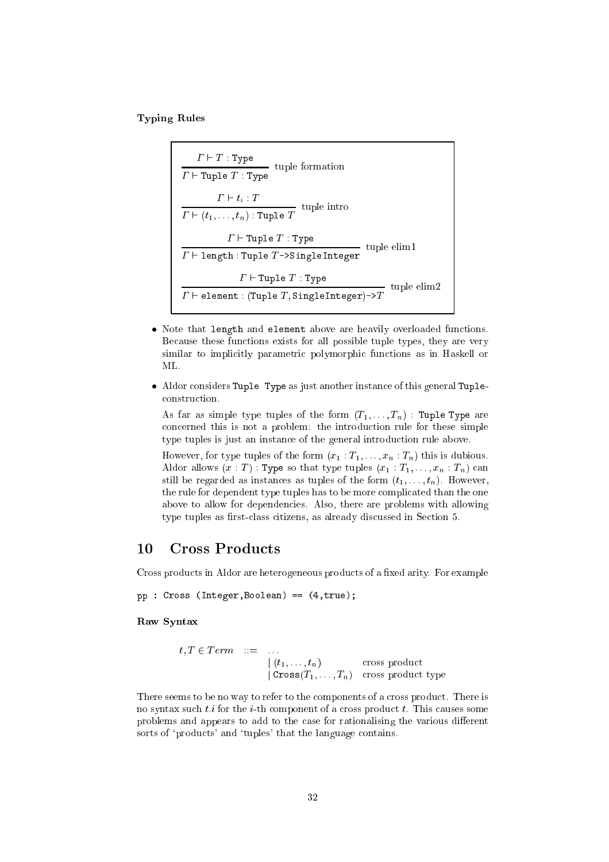$T<sub>1</sub>$  relations relations to the  $T<sub>2</sub>$ 

- : - : - *; . .* tuple formation for  $\sim$  ` Tuple <sup>T</sup> : Type  $\cdot$   $\cdot$   $\cdot$   $$ turns and the control of the control of the control of the control of the control of the control of the control of the control of the control of the control of the control of the control of the control of the control of th - \-\-\-----*\\\\* - : ----- - : **. .** . tuple elimine elimine ` length : Tuple <sup>T</sup> ->SingleInteger - : ----- - : - *.* . . turban tuple elimine elimine elimine elimine elimine elimine elimine elimine elimine elimine elimine elimine e ` element : (Tuple T ; SingleInteger)->T

- Note that length and element above are heavily overloaded functions. Because these functions exists for all possible tuple types, they are very similar to implicitly parametric polymorphic functions as in Haskell or
- Aldor considers Tuple Type as just another instance of this general Tupleonstru
tion.

As far as simple type tuples of the form  $(T_1, \ldots, T_n)$ : Tuple Type are on
erned this is not a problem: the introdu
tion rule for these simple type tuples is just an instance of the general introduction rule above.

However, for type tuples of the form  $(x_1 : T_1, \ldots, x_n : T_n)$  this is dubious. Aldor allows  $(x : T)$ : Type so that type tuples  $(x_1 : T_1, \ldots, x_n : T_n)$  can still be regarded as instances as tuples of the form  $(t_1, \ldots, t_n)$ . However, the rule for dependent type tuples has to be more complicated than the one above to allow for dependen
ies. Also, there are problems with allowing type tuples as first-class citizens, as already discussed in Section 5.

#### 10 **Cross Products**

Cross products in Aldor are heterogeneous products of a fixed arity. For example

pp : Cross (Integer,Boolean) == (4,true);

Raw Syntax

```
t; T 2 T erm ::= : : :
                   j (t1; : : : ; tn) 
ross produ
t
                   j Cross(T1; : : : ; Tn) 
ross produ
t type
```
There seems to be no way to refer to the components of a cross product. There is no syntax such  $t.i$  for the *i*-th component of a cross product  $t$ . This causes some problems and appears to add to the case for rationalising the various different sorts of 'products' and 'tuples' that the language contains.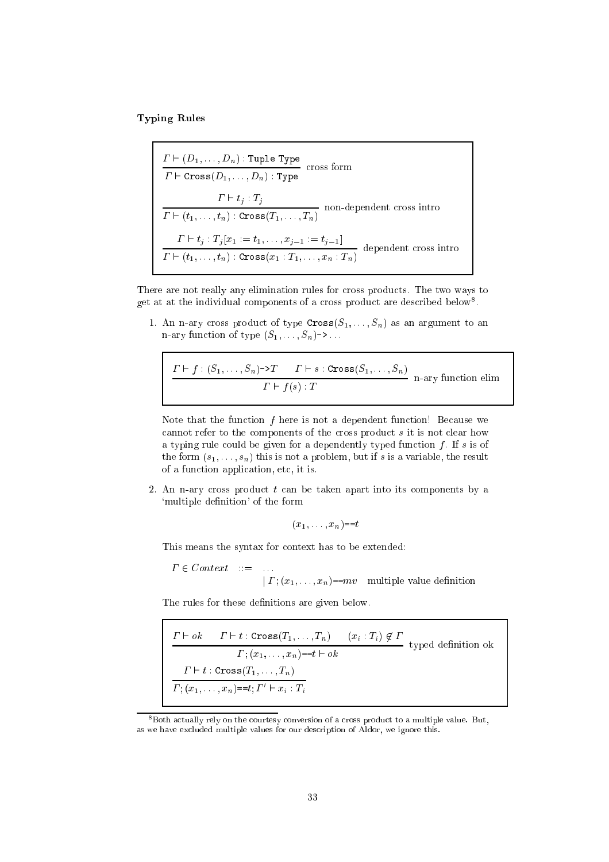$T<sub>1</sub>$  relations relations to the  $T<sub>2</sub>$ 

- \- \- \- : : : <del>divident</del> Type - - - - - - (- 1) : : ; - *III* : *- .I* F - ` tj : Tj non-dependent and ross introduced and ross introduced and ross introduced and respect to the control of the co  $-$  (t1; : : ; th) :  $-$  -  $-$  (  $-$  1; : : ;  $-$  10) ` tj in the second terms of the top in the top the top the top in the top that it is the top that it is the to dependent ross intro ` (t1; : : : ; tn) : Cross(x1 : T1; : : : ; xn : Tn)

There are not really any elimination rules for cross products. The two ways to get at at the individual components of a cross product are described below .

1. An n-ary cross product of type  $Cross(S_1, ..., S_n)$  as an argument to an n-ary function of type  $(S_1, \ldots, S_n)$ ->...

$$
\frac{\Gamma \vdash f : (S_1, \ldots, S_n) \to T \qquad \Gamma \vdash s : \text{Cross}(S_1, \ldots, S_n)}{\Gamma \vdash f(s) : T} \quad \text{n-ary function elim}
$$

Note that the function  $f$  here is not a dependent function! Because we cannot refer to the components of the cross product s it is not clear how a typing rule could be given for a dependently typed function  $f$ . If s is of the form  $(s_1, \ldots, s_n)$  this is not a problem, but if s is a variable, the result of a fun
tion appli
ation, et
, it is.

2. An n-ary cross product  $t$  can be taken apart into its components by a 'multiple definition' of the form

$$
(x_1,\ldots,x_n) = t
$$

This means the syntax for ontext has to be extended:

 <sup>2</sup> Context ::= : : : j is  $\mathbf{1}$  if  $\mathbf{1}$  is  $\mathbf{1}$  if  $\mathbf{1}$  if  $\mathbf{1}$  if  $\mathbf{1}$  if  $\mathbf{1}$  if  $\mathbf{1}$  if  $\mathbf{1}$  if  $\mathbf{1}$  if  $\mathbf{1}$  if  $\mathbf{1}$  if  $\mathbf{1}$  if  $\mathbf{1}$  if  $\mathbf{1}$  if  $\mathbf{1}$  if  $\mathbf{1}$  if  $\mathbf{1}$  if

The rules for these definitions are given below.

$$
\frac{\Gamma \vdash ok \quad \Gamma \vdash t : \text{Cross}(T_1, \ldots, T_n) \quad (x_i : T_i) \notin \Gamma}{\Gamma; (x_1, \ldots, x_n) = t \vdash ok} \text{ typed definition ok}
$$
\n
$$
\frac{\Gamma \vdash t : \text{Cross}(T_1, \ldots, T_n)}{\Gamma; (x_1, \ldots, x_n) = t; \Gamma' \vdash x_i : T_i}
$$

<sup>&</sup>lt;sup>8</sup> Both actually rely on the courtesy conversion of a cross product to a multiple value. But, as we have ex
luded multiple values for our des
ription of Aldor, we ignore this.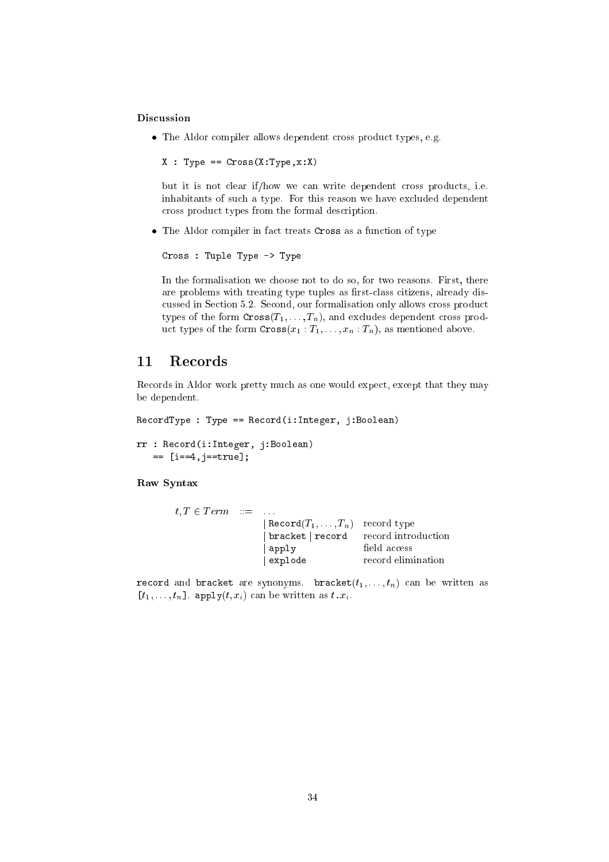## **Discussion**

• The Aldor compiler allows dependent cross product types, e.g.

```
X : Type == Cross(X:Type,x:X)
```
but it is not clear if/how we can write dependent cross products, i.e. inhabitants of su
h a type. For this reason we have ex
luded dependent ross produ
t types from the formal des
ription.

• The Aldor compiler in fact treats Cross as a function of type

Cross : Tuple Type -> Type

In the formalisation we hoose not to do so, for two reasons. First, there are problems with treating type tuples as first-class citizens, already discussed in Section 5.2. Second, our formalisation only allows cross product types of the form  $\text{Cross}(T_1, \ldots, T_n)$ , and excludes dependent cross product types of the form  $\text{Cross}(x_1 : T_1, \ldots, x_n : T_n)$ , as mentioned above.

## 11 Records

Records in Aldor work pretty much as one would expect, except that they may be dependent.

```
reduced in the contract of the contract of the contract of the contract of the contract of the contract of the contract of the contract of the contract of the contract of the contract of the contract of the contract of the
```

```
rr : Republican in Politican (1989)
   == [i==4,j==true℄;
```
## Raw Syntax

| $t, T \in Term \quad ::= \quad \ldots$ |                                               |                    |
|----------------------------------------|-----------------------------------------------|--------------------|
|                                        | $\mathsf{Record}(T_1,\ldots,T_n)$ record type |                    |
|                                        | bracket   record record introduction          |                    |
|                                        | apply                                         | field access       |
|                                        | $\vert$ explode                               | record elimination |

re synonyms. Branden are synonyms is an be written and in the written as a second as  $[t_1, \ldots, t_n]$ . apply $(t, x_i)$  can be written as  $t \cdot x_i$ .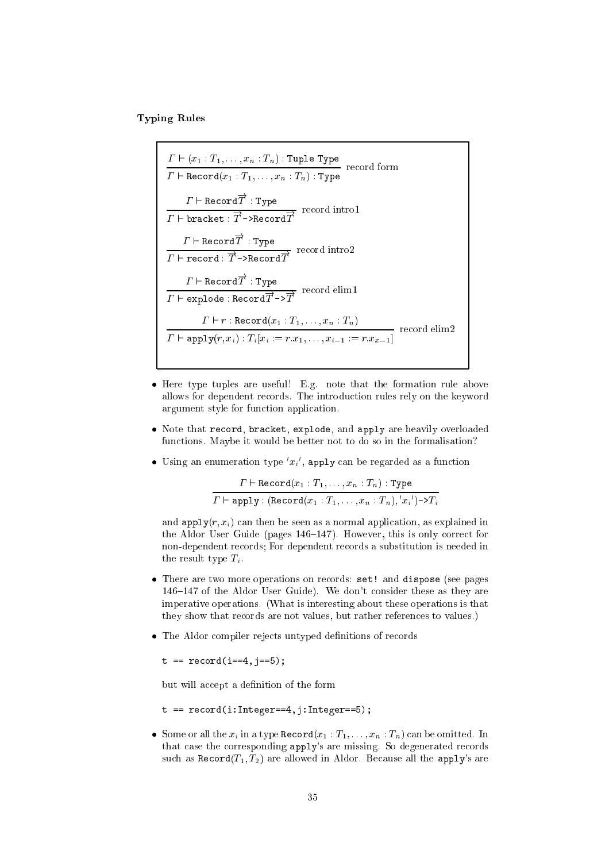$T<sub>1</sub>$  relations relations to the  $T<sub>2</sub>$ 

- (x1 : T1; : : ; : Th; : Th) : The Type ` Re
ord(x1 : T1; : : : ; xn : Tn) : Type  $I \Vdash \texttt{Record}\,T$  : Type  $\varGamma\vdash\mathtt{bracket}:\overline\varGamma\!\to\!\mathtt{Recard}\overline\varGamma$  $I \Vdash \texttt{Record}\,T$  : Type  $\varGamma\vdash \mathtt{record} : \overline{\varGamma} \dashrightarrow \mathtt{Record} \overline{\varGamma}$  . The matrix  $\varGamma$  $I' \vdash \texttt{Record}\, T$  : Type  $\varGamma\vdash \texttt{explode} : \texttt{Record}\overline{T}{\;\to\;} \overline{T}$  ` <sup>r</sup> : Re
ord(x1 : T1; : : : ; xn : Tn) ` apply(r; xi) : Ti [xi := r:x1; : : : ; xi1 := r:xx1℄

- Here type tuples are useful! E.g. note that the formation rule above allows for dependent re
ords. The introdu
tion rules rely on the keyword argument style for fun
tion appli
ation.
- Note that record, bracket, explode, and apply are heavily overloaded fun
tions. Maybe it would be better not to do so in the formalisation?
- $\bullet$  Using an enumeration type  $x_i$  , apply can be regarded as a function

$$
\frac{\Gamma \vdash \text{Record}(x_1 : T_1, \ldots, x_n : T_n) : \text{Type}}{\Gamma \vdash \text{apply} : (\text{Record}(x_1 : T_1, \ldots, x_n : T_n), 'x_i') \rightarrow T_i}
$$

and  $\text{and } \text{and } \text{in } \mathbb{R}$  and  $\text{and } \text{in } \mathbb{R}$  are then be seen as a normal application, as explained in the Aldor User Guide (pages  $146-147$ ). However, this is only correct for non-dependent re
ords; For dependent re
ords a substitution is needed in the result type  $T_i$ .

- There are two more operations on records: set! and dispose (see pages 146–147 of the Aldor User Guide). We don't consider these as they are imperative operations. (What is interesting about these operations is that they show that records are not values, but rather references to values.)
- The Aldor compiler rejects untyped definitions of records

```
t == re
ord(i==4,j==5);
```
but will accept a definition of the form

```
t == re
ord(i:Integer==4,j:Integer==5);
```
• Some or all the  $x_i$  in a type Record $(x_1 : T_1, \ldots, x_n : T_n)$  can be omitted. In that case the corresponding apply's are missing. So degenerated records such as  $\text{Record}(T_1, T_2)$  are allowed in Aldor. Because all the apply's are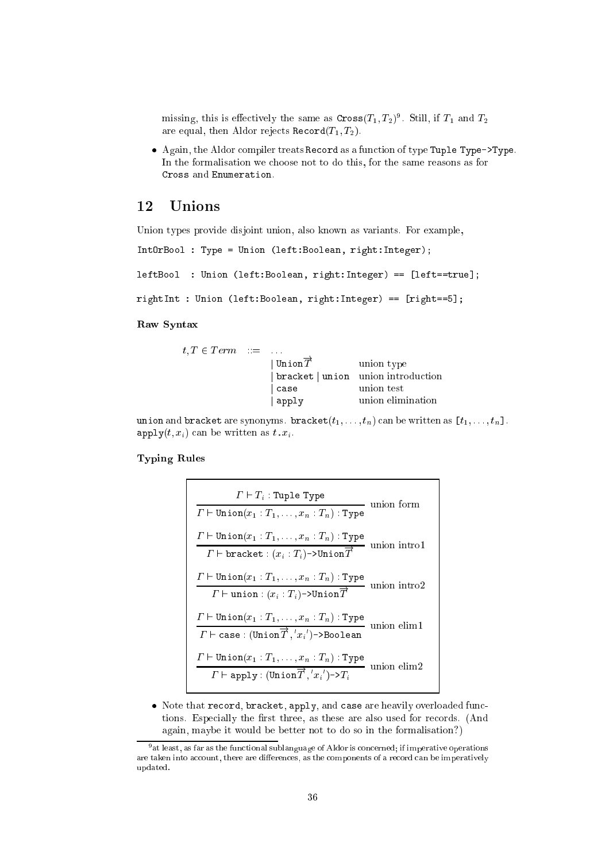missing, this is effectively the same as  $\text{cross}(T_1, T_2)$ . Still, if  $T_1$  and  $T_2$ are equal, then Aldor rejects Record $(T_1, T_2)$ .

• Again, the Aldor compiler treats Record as a function of type Tuple Type->Type. In the formalisation we hoose not to do this, for the same reasons as for Cross and Enumeration.

## <sup>12</sup> Unions

Union types provide disjoint union, also known as variants. For example,

```
IntOrBool : Type = Union (left:Boolean, right:Integer);
```
left:Bool : Union (left:Boolean, right:Boolean, right:Integer) ==  $\mathbf{I}$ 

```
rightInt : Union (left:Boolean, right:Integral, Pright:Integral
```
#### Raw Syntax

| $t, T \in Term \quad ::= \quad \dots$ |                                    |                                    |
|---------------------------------------|------------------------------------|------------------------------------|
|                                       | $\overrightarrow{\texttt{UnionT}}$ | union type                         |
|                                       |                                    | bracket   union union introduction |
|                                       | case                               | union test                         |
|                                       | apply                              | union elimination                  |

د د الله المسلم المسلم المسلم المسلم المسلم المسلم المسلم المسلم المسلم المسلم المسلم المسلم المسلم المسلم المس  $\text{apply}(t, x_i)$  can be written as  $t \cdot x_i$ .

#### $T<sub>1</sub>$  relations relations to the  $T<sub>2</sub>$

 $\mathbf{r}$ 

$$
\frac{\Gamma \vdash T_i : \text{Tuple Type}}{\Gamma \vdash \text{Union}(x_1 : T_1, \ldots, x_n : T_n) : \text{Type}} \quad \text{union form}
$$
\n
$$
\frac{\Gamma \vdash \text{Union}(x_1 : T_1, \ldots, x_n : T_n) : \text{Type}}{\Gamma \vdash \text{bracket} : (x_i : T_i) \neg \text{Union} \overrightarrow{T}} \quad \text{union into 1}
$$
\n
$$
\frac{\Gamma \vdash \text{Union}(x_1 : T_1, \ldots, x_n : T_n) : \text{Type}}{\Gamma \vdash \text{union} : (x_i : T_i) \neg \text{Union} \overrightarrow{T}} \quad \text{union into 2}
$$
\n
$$
\frac{\Gamma \vdash \text{Union}(x_1 : T_1, \ldots, x_n : T_n) : \text{Type}}{\Gamma \vdash \text{case} : (\text{Union} \overrightarrow{T}, 'x_i') \neg \text{Boolean}} \quad \text{union elim1}
$$
\n
$$
\frac{\Gamma \vdash \text{Union}(x_1 : T_1, \ldots, x_n : T_n) : \text{Type}}{\Gamma \vdash \text{apply} : (\text{Union} \overrightarrow{T}, 'x_i') \neg \text{atrix}} \quad \text{union elim2}
$$

• Note that record, bracket, apply, and case are heavily overloaded functions. Especially the first three, as these are also used for records. (And again, maybe it would be better not to do so in the formalisation?)

<sup>9</sup> at least, as far as the fun
tional sublanguage of Aldor is 
on
erned; if imperative operations are taken into account, there are differences, as the components of a record can be imperatively updated.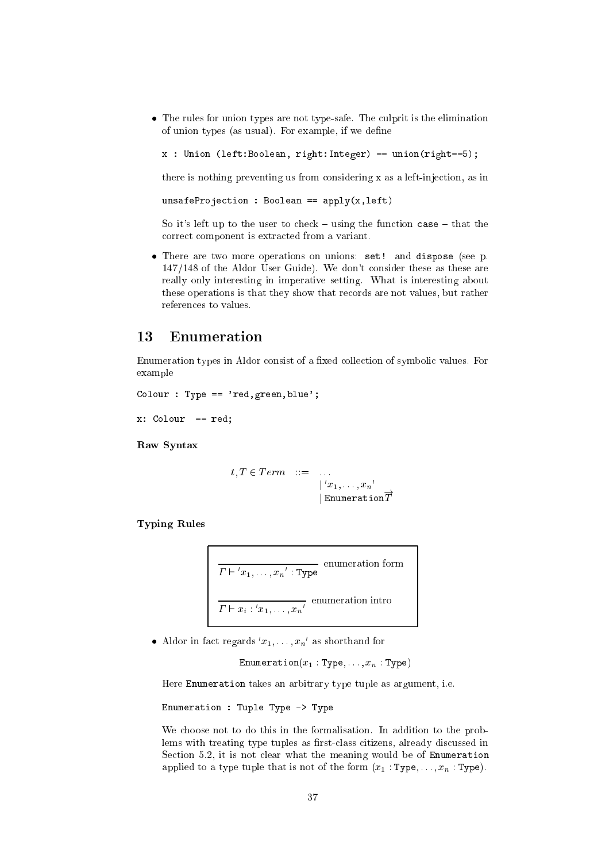• The rules for union types are not type-safe. The culprit is the elimination of union types (as usual). For example, if we define

```
x : Union (left:Boolean, right:Integer) == union(right==5);
```
there is nothing preventing us from considering x as a left-injection, as in

 $unsafeProjection: Boolean == apply(x, left)$ 

So it's left up to the user to check – using the function case – that the correct component is extracted from a variant.

• There are two more operations on unions: set! and dispose (see p. 147/148 of the Aldor User Guide). We don't consider these as these are really only interesting in imperative setting. What is interesting about these operations is that they show that records are not values, but rather references to values.

#### 13 Enumeration

Enumeration types in Aldor consist of a fixed collection of symbolic values. For example

```
Colour : Type == 'red, green, blue';
```

```
x: Colour == red;
```
Raw Syntax

$$
t, T \in Term \quad ::= \quad \dots
$$

$$
\begin{array}{ccc} | & x_1, \dots, x_n' \\ | & \text{Emmentation} \overrightarrow{T} \end{array}
$$

**Typing Rules** 

$$
\frac{T \vdash 'x_1, \ldots, x_n': \text{Type}}{T \vdash x_i : 'x_1, \ldots, x_n'}
$$
 enumeration intro

• Aldor in fact regards  $x_1, \ldots, x_n$  as shorthand for

Enumeration( $x_1$ : Type,..., $x_n$ : Type)

Here Enumeration takes an arbitrary type tuple as argument, i.e.

Enumeration : Tuple Type -> Type

We choose not to do this in the formalisation. In addition to the problems with treating type tuples as first-class citizens, already discussed in Section 5.2, it is not clear what the meaning would be of Enumeration applied to a type tuple that is not of the form  $(x_1 : Type, \ldots, x_n : Type)$ .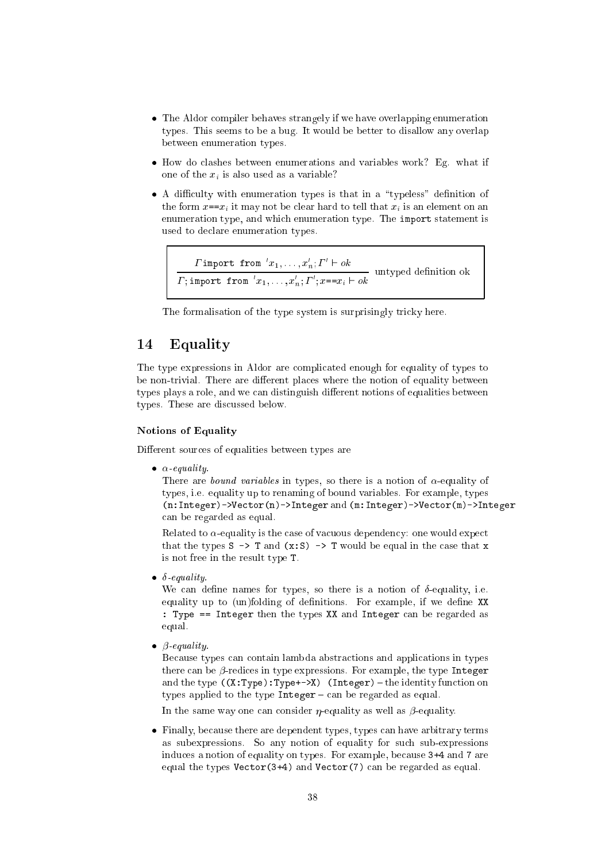- The Aldor compiler behaves strangely if we have overlapping enumeration types. This seems to be a bug. It would be better to disallow any overlap between enumeration types.
- How do clashes between enumerations and variables work? Eg. what if one of the  $x_i$  is also used as a variable?
- A difficulty with enumeration types is that in a "typeless" definition of the form  $x=x_i$  it may not be clear hard to tell that  $x_i$  is an element on an enumeration type, and which enumeration type. The import statement is used to declare enumeration types.

```
Timport from x_1, \ldots, x_n; \Gamma' \vdash ok<br>T; import from x_1, \ldots, x_n; \Gamma'; x == x_i \vdash ok untyped definition ok
```
The formalisation of the type system is surprisingly tricky here.

#### Equality 14

The type expressions in Aldor are complicated enough for equality of types to be non-trivial. There are different places where the notion of equality between types plays a role, and we can distinguish different notions of equalities between types. These are discussed below.

## **Notions of Equality**

Different sources of equalities between types are

 $\bullet$   $\alpha$ -equality.

There are *bound variables* in types, so there is a notion of  $\alpha$ -equality of types, i.e. equality up to renaming of bound variables. For example, types  $(n:Integer)$  ->Vector(n) ->Integer and (m:Integer) ->Vector(m) ->Integer can be regarded as equal.

Related to  $\alpha$ -equality is the case of vacuous dependency: one would expect that the types  $S \rightarrow T$  and  $(x : S) \rightarrow T$  would be equal in the case that x is not free in the result type T.

 $\bullet$   $\delta$ -equality.

We can define names for types, so there is a notion of  $\delta$ -equality, i.e. equality up to (un)folding of definitions. For example, if we define XX : Type == Integer then the types XX and Integer can be regarded as equal.

 $\bullet$   $\beta$ -equality.

Because types can contain lambda abstractions and applications in types there can be  $\beta$ -redices in type expressions. For example, the type Integer and the type  $((x:Type):Type+-\ge 0)$  (Integer) - the identity function on types applied to the type  $Integer - can$  be regarded as equal.

In the same way one can consider  $\eta$ -equality as well as  $\beta$ -equality.

• Finally, because there are dependent types, types can have arbitrary terms as subexpressions. So any notion of equality for such sub-expressions induces a notion of equality on types. For example, because 3+4 and 7 are equal the types  $Vector(3+4)$  and  $Vector(7)$  can be regarded as equal.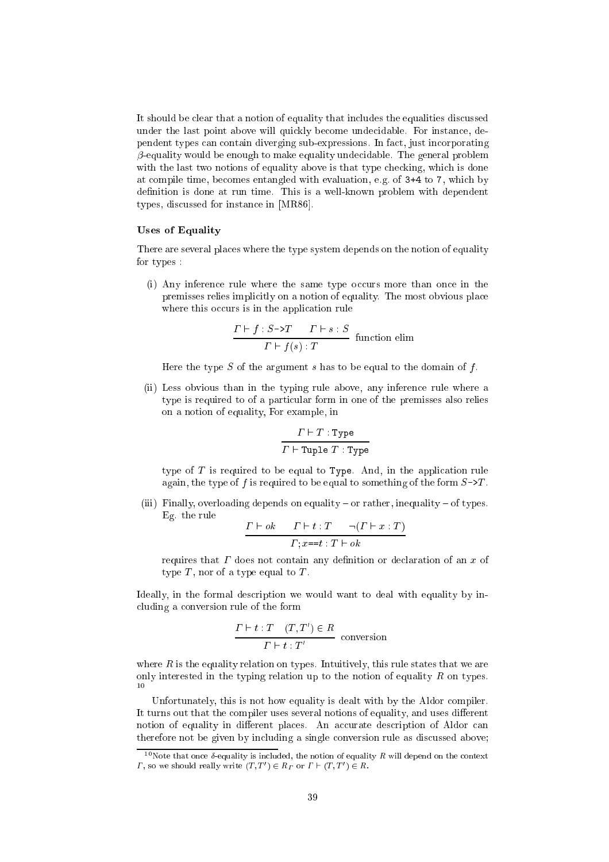It should be clear that a notion of equality that includes the equalities discussed under the last point above will qui
kly be
ome unde
idable. For instan
e, dependent types an ontain diverging sub-expressions. In fa
t, just in
orporating  $\beta$ -equality would be enough to make equality undecidable. The general problem with the last two notions of equality above is that type checking, which is done at ompile time, be
omes entangled with evaluation, e.g. of 3+4 to 7, whi
h by definition is done at run time. This is a well-known problem with dependent types, discussed for instance in [MR86].

## Uses of Equality

There are several pla
es where the type system depends on the notion of equality for types :

(i) Any inference rule where the same type occurs more than once in the premisses relies implicitly on a notion of equality. The most obvious place where this occurs is in the application rule

$$
\frac{\Gamma \vdash f : S \rightarrow T \qquad \Gamma \vdash s : S}{\Gamma \vdash f(s) : T}
$$
 function elim

Here the type S of the argument s has to be equal to the domain of f.

(ii) Less obvious than in the typing rule above, any inferen
e rule where a type is required to of a parti
ular form in one of the premisses also relies on a notion of equality, For example, in

$$
\frac{\varGamma \vdash T : \texttt{Type}}{\varGamma \vdash \texttt{Tuple } T : \texttt{Type}}
$$

type of  $T$  is required to be equal to Type. And, in the application rule again, the type of f is required to be equal to something of the form  $S\rightarrow T$ .

(iii) Finally, overloading depends on equality  $-$  or rather, inequality  $-$  of types. Eg. the rule

$$
\frac{\Gamma \vdash ok \quad \Gamma \vdash t : T \quad \neg (\Gamma \vdash x : T)}{\Gamma ; x = t : T \vdash ok}
$$

requires that  $\Gamma$  does not contain any definition or declaration of an  $x$  of type  $T$ , nor of a type equal to  $T$ .

Ideally, in the formal description we would want to deal with equality by inluding a onversion rule of the form

$$
\frac{\Gamma \vdash t : T \quad (T, T') \in R}{\Gamma \vdash t : T'}
$$
 conversion

where  $R$  is the equality relation on types. Intuitively, this rule states that we are only interested in the typing relation up to the notion of equality  $R$  on types. <sup>10</sup>

Unfortunately, this is not how equality is dealt with by the Aldor compiler. It turns out that the compiler uses several notions of equality, and uses different notion of equality in different places. An accurate description of Aldor can therefore not be given by in
luding a single onversion rule as dis
ussed above;

<sup>&</sup>lt;sup>10</sup>Note that once  $\delta$ -equality is included, the notion of equality R will depend on the context *I*, so we should really write  $(T, T) \in R_T$  or  $T \in (T, T) \in R$ .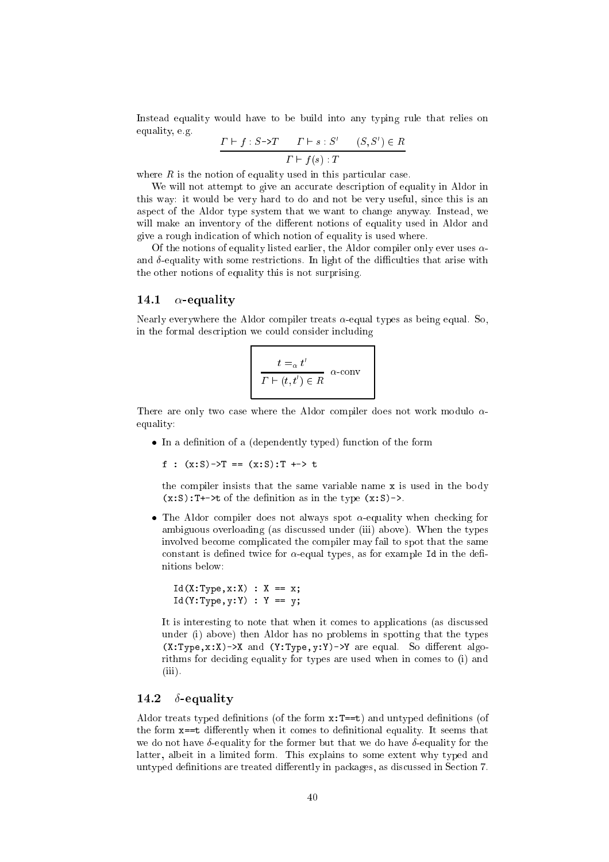Instead equality would have to be build into any typing rule that relies on equality, e.g.  $\alpha$  $(0.00)$ 

$$
\frac{T \vdash f : S \to T \qquad T \vdash s : S \qquad (S, S') \in R}{\Gamma \vdash f(s) : T}
$$

where  $R$  is the notion of equality used in this particular case.

We will not attempt to give an accurate description of equality in Aldor in this way: it would be very hard to do and not be very useful, sin
e this is an aspe
t of the Aldor type system that we want to hange anyway. Instead, we will make an inventory of the different notions of equality used in Aldor and give a rough indi
ation of whi
h notion of equality is used where.

Of the notions of equality listed earlier, the Aldor compiler only ever uses  $\alpha$ and  $\delta$ -equality with some restrictions. In light of the difficulties that arise with the other notions of equality this is not surprising.

## 14.1  $\alpha$ -equality

Nearly everywhere the Aldor compiler treats  $\alpha$ -equal types as being equal. So, in the formal des
ription we ould onsider in
luding

$$
\frac{t = \alpha t'}{\Gamma \vdash (t, t') \in R} \quad \alpha\text{-conv}
$$

There are only two case where the Aldor compiler does not work modulo  $\alpha$ equality:

 $\bullet$  In a definition of a (dependently typed) function of the form

f :  $(x:S)$  ->T ==  $(x:S)$ : T +-> t

the ompiler insists that the same variable name <sup>x</sup> is used in the body  $(x: S)$ : T+->t of the definition as in the type  $(x: S)$ ->.

• The Aldor compiler does not always spot  $\alpha$ -equality when checking for ambiguous overloading (as discussed under (iii) above). When the types involved be
ome ompli
ated the ompiler may fail to spot that the same constant is defined twice for  $\alpha$ -equal types, as for example Id in the definitions below:

```
Id(X:Type, x:X) : X == x;Id(Y:Type, y:Y) : Y == y;
```
It is interesting to note that when it comes to applications (as discussed under (i) above) then Aldor has no problems in spotting that the types  $(X:Type, x:X)$ - $X$  and  $(Y:Type, y:Y)$ - $Y$  are equal. So different algorithms for deciding equality for types are used when in comes to (i) and (iii).

## 14.2  $\delta$ -equality

Aldor treats typed definitions (of the form  $x: T == t$ ) and untyped definitions (of the form  $x == t$  differently when it comes to definitional equality. It seems that we do not have  $\delta$ -equality for the former but that we do have  $\delta$ -equality for the latter, albeit in a limited form. This explains to some extent why typed and untyped definitions are treated differently in packages, as discussed in Section 7.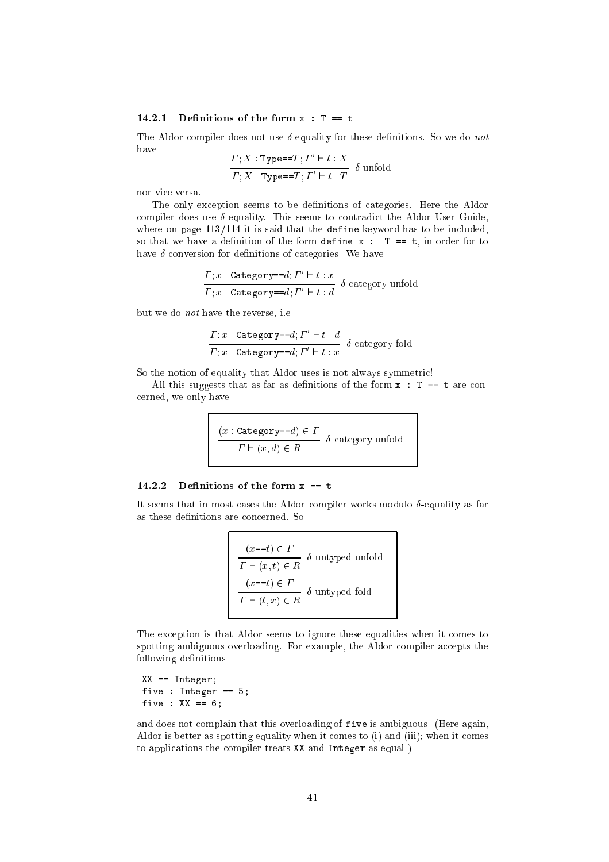## 14.2.1 Definitions of the form  $x : T == t$

The Aldor compiler does not use  $\delta$ -equality for these definitions. So we do not have

$$
\frac{\Gamma; X : \text{Type} == T; I'' \vdash t : X}{\Gamma; X : \text{Type} == T; I' \vdash t : T} \delta \text{unfold}
$$

nor vi
e versa.

The only exception seems to be definitions of categories. Here the Aldor compiler does use  $\delta$ -equality. This seems to contradict the Aldor User Guide, where on page  $113/114$  it is said that the define keyword has to be included, so that we have a definition of the form define  $x : T == t$ , in order for to have  $\delta$ -conversion for definitions of categories. We have

$$
\frac{\Gamma; x : \texttt{Category==}d; \Gamma' \vdash t : x}{\Gamma; x : \texttt{Category=}=d; \Gamma' \vdash t : d} \delta \text{ category unfold}
$$

but we do not have the reverse, i.e.

$$
\frac{\Gamma; x: \texttt{Category==}d; \Gamma' \vdash t : d}{\Gamma; x: \texttt{Category=}=d; \Gamma' \vdash t : x} \delta \text{ category fold}
$$

So the notion of equality that Aldor uses is not always symmetric!

All this suggests that as far as definitions of the form  $x : T == t$  are conerned, we only have

$$
\frac{(x : \texttt{Category=}d) \in \Gamma}{\Gamma \vdash (x, d) \in R} \delta \text{ category unfold}
$$

## 14.2.2 Definitions of the form  $x == t$

It seems that in most cases the Aldor compiler works modulo  $\delta$ -equality as far as these definitions are concerned. So

$$
(x == t) \in \Gamma
$$
  
\n
$$
\Gamma \vdash (x, t) \in R
$$
  $\delta$  untryped unfold  
\n
$$
(x == t) \in \Gamma
$$
  
\n
$$
\Gamma \vdash (t, x) \in R
$$
  $\delta$  untryped fold

The exception is that Aldor seems to ignore these equalities when it comes to spotting ambiguous overloading. For example, the Aldor compiler accepts the following definitions

```
XX == Integer;
five \mathbf{r} in the set of \mathbf{r}fixed the state \mathbf{r}
```
and does not omplain that this overloading of five is ambiguous. (Here again, Aldor is better as spotting equality when it comes to (i) and (iii); when it comes to appli
ations the ompiler treats XX and Integer as equal.)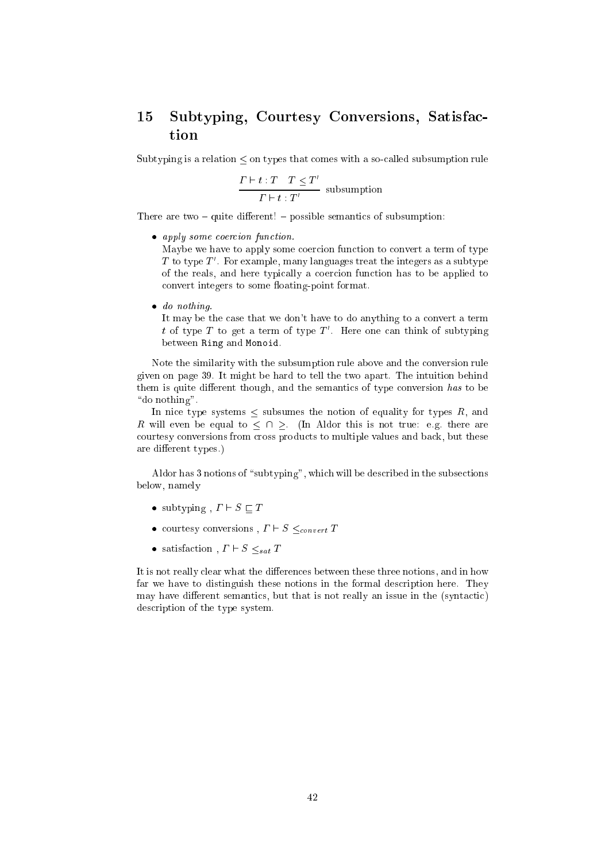### 15 Subtyping, Courtesy Conversions, Satisfa
 tion

Subtyping is a relation  $\leq$  on types that comes with a so-called subsumption rule

$$
\frac{\Gamma \vdash t : T \quad T \leq T'}{\Gamma \vdash t : T'}
$$
 subsumption

There are two  $-$  quite different!  $-$  possible semantics of subsumption:

• apply some coercion function.

Maybe we have to apply some coercion function to convert a term of type  $\,$  to type  $\,$  . For example, many languages treat the integers as a subtype of the reals, and here typically a coercion function has to be applied to convert integers to some floating-point format.

• do nothing.

It may be the case that we don't have to do anything to a convert a term  $\iota$  or type  $I$  to get a term or type  $I$  . Here one can think or subtyping between Ring and Monoid.

Note the similarity with the subsumption rule above and the conversion rule given on page 39. It might be hard to tell the two apart. The intuition behind them is quite different though, and the semantics of type conversion has to be "do nothing".

In nice type systems  $\leq$  subsumes the notion of equality for types R, and R will even be equal to  $\leq \cap$  >. (In Aldor this is not true: e.g. there are courtesy conversions from cross products to multiple values and back, but these are different types.)

Aldor has 3 notions of "subtyping", which will be described in the subsections below, namely

- subtyping,  $\Gamma \vdash S \sqsubset T$
- courtesy conversions,  $\Gamma \vdash S \leq_{convert} T$
- satisfaction,  $\Gamma \vdash S \leq_{sat} T$

It is not really clear what the differences between these three notions, and in how far we have to distinguish these notions in the formal description here. They may have different semantics, but that is not really an issue in the (syntactic) des
ription of the type system.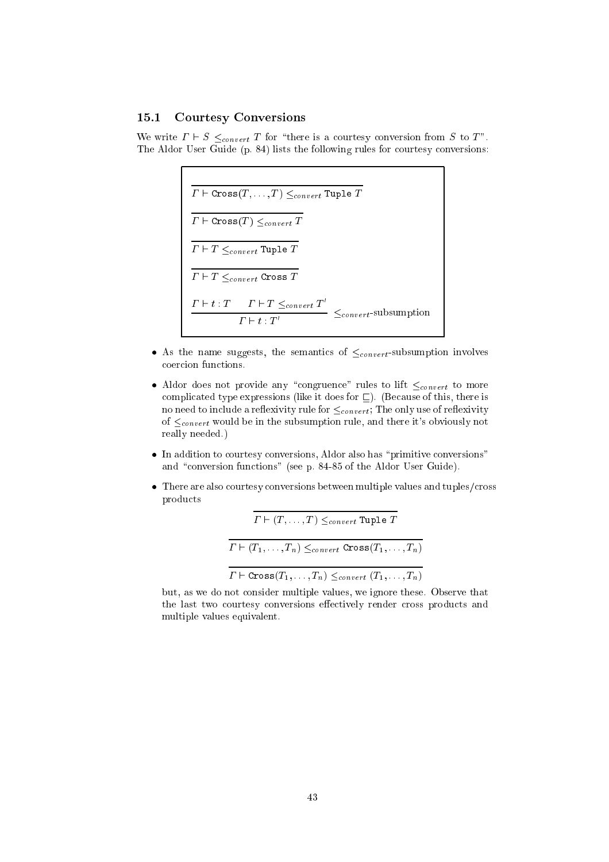## 15.1 Courtesy Conversions

We write  $\Gamma \vdash S \leq_{convert} T$  for "there is a courtesy conversion from S to T". The Aldor User Guide (p. 84) lists the following rules for courtesy conversions:

$$
\Gamma \vdash \text{Cross}(T, \dots, T) \leq_{convert} \text{Tuple } T
$$
\n
$$
\overline{\Gamma \vdash \text{Cross}(T) \leq_{convert} T}
$$
\n
$$
\overline{\Gamma \vdash T \leq_{convert} \text{Tuple } T}
$$
\n
$$
\overline{\Gamma \vdash T \leq_{convert} \text{Cross } T}
$$
\n
$$
\frac{\Gamma \vdash t : T \quad \Gamma \vdash T \leq_{convert} T'}{\Gamma \vdash t : T \quad \Gamma \vdash T \leq_{convert} T'} \leq_{convert} \text{subsumption}
$$

- As the name suggests, the semantics of  $\leq_{convert}$ -subsumption involves oer
ion fun
tions.
- Aldor does not provide any "congruence" rules to lift  $\leq_{convert}$  to more complicated type expressions (like it does for  $\sqsubseteq$ ). (Because of this, there is no need to include a reflexivity rule for  $\leq_{convert}$ ; The only use of reflexivity of  $\leq_{convert}$  would be in the subsumption rule, and there it's obviously not really needed.)
- In addition to courtesy conversions, Aldor also has "primitive conversions" and "conversion functions" (see p. 84-85 of the Aldor User Guide).
- There are also courtesy conversions between multiple values and tuples/cross produ
ts

$$
\Gamma \vdash (T, \dots, T) \leq_{convert} \text{Tuple } T
$$
\n
$$
\overline{\Gamma \vdash (T_1, \dots, T_n) \leq_{convert} \text{Cross}(T_1, \dots, T_n)}
$$
\n
$$
\overline{\Gamma \vdash \text{Cross}(T_1, \dots, T_n) \leq_{convert} (T_1, \dots, T_n) \cdot \Gamma}
$$

but, as we do not consider multiple values, we ignore these. Observe that the last two courtesy conversions effectively render cross products and multiple values equivalent.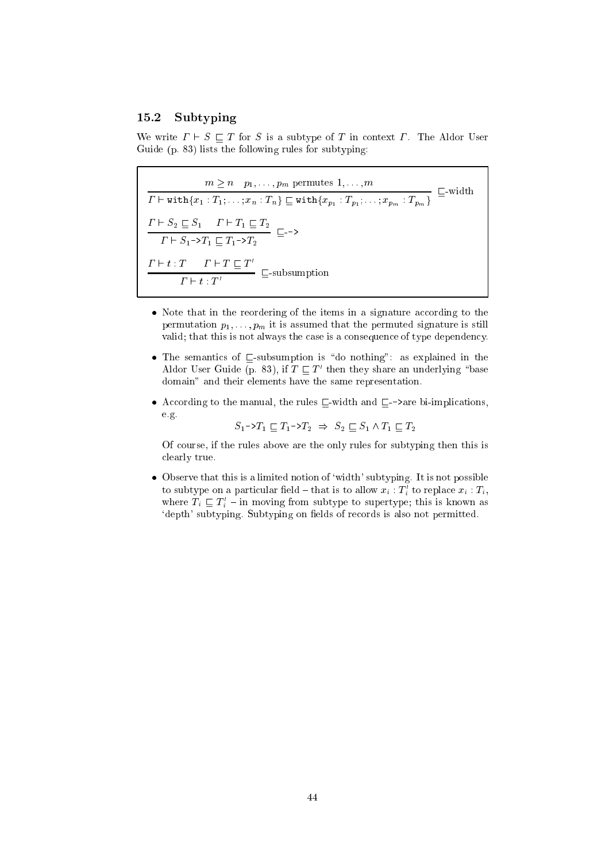#### 15.2Subtyping

We write  $\Gamma \vdash S \sqsubset T$  for S is a subtype of T in context  $\Gamma$ . The Aldor User Guide (p. 83) lists the following rules for subtyping:

 $\frac{m_1 m_2 \cdots p_n}{\cdots}$   $\frac{m_1 m_2 \cdots m_n}{\cdots}$   $\frac{m_2 m_3 \cdots m_n}{\cdots}$   $\cdots$   $\cdots$  ` withfx1 : T1; : : : ; xn : Tng <sup>v</sup> withfxp1 : Tp1 ; : : : ; xpm : Tpmg ` S2 <sup>v</sup> S1 ` T1 <sup>v</sup> T2 v--> - ~1 -1 -1 *T*2  $I \quad \vdash \; \mathit{I} \; : \; I \quad \vdash \; I \; \vdash \; I \; \sqsubseteq \; I$  $\Gamma \vdash t : T'$  =  $\overline{\phantom{0}}$  =  $\overline{\phantom{0}}$ 

- Note that in the reordering of the items in a signature a

ording to the permutation  $p_1, \ldots, p_m$  it is assumed that the permuted signature is still valid; that this is not always the case is a consequence of type dependency.
- The semantic semantic intervals of v-subsumption is  $\mathcal{W}$  as explained in the semantic in the semantic in the semantic in the semantic in the semantic in the semantic in the semantic in the semantic interval  $\mathcal{W}$ Aldor User Guide (p. 83), if  $I \sqsubset I$  then they share an underlying base domain" and their elements have the same representation.
- are the manual, the rules viewed and viewed and viewed and viewed and viewed and viewed and viewed and viewed e.g.

$$
S_1 \to T_1 \sqsubseteq T_1 \to T_2 \implies S_2 \sqsubseteq S_1 \land T_1 \sqsubseteq T_2
$$

Of ourse, if the rules above are the only rules for subtyping then this is learly true.

• Observe that this is a limited notion of 'width' subtyping. It is not possible to subtype on a particular neld  $-$  that is to allow  $x_i$  :  $\pmb{\tau}_i$  to replace  $x_i$  :  $\pmb{\tau}_i,$ where  $I_i \subseteq I_i$  – in moving from subtype to supertype; this is known as 'depth' subtyping. Subtyping on fields of records is also not permitted.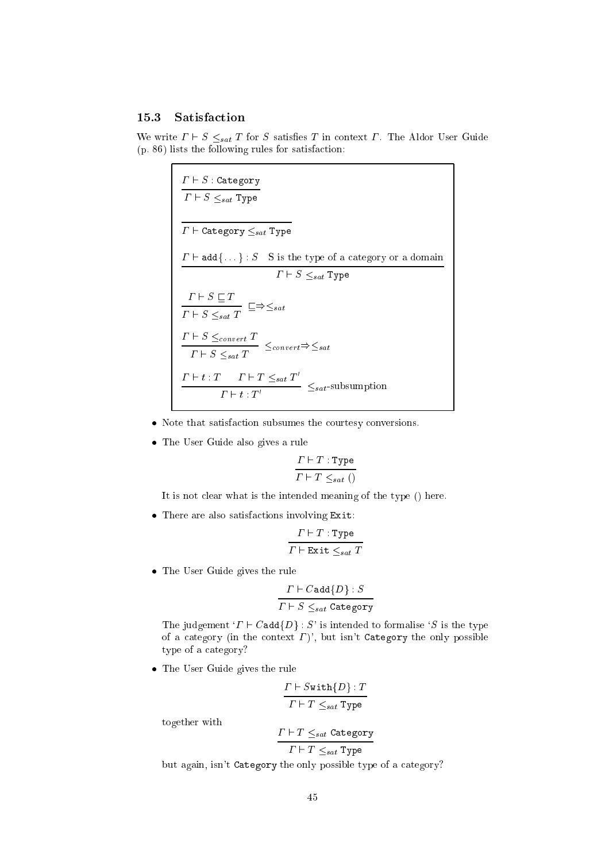## 15.3 Satisfa
tion

We write  $\Gamma \vdash S \leq_{sat} T$  for S satisfies T in context  $\Gamma$ . The Aldor User Guide (p. 86) lists the following rules for satisfa
tion:

| $\Gamma \vdash S$ : Category<br>$\Gamma \vdash S \leq_{sat}$ Type                                           |
|-------------------------------------------------------------------------------------------------------------|
| $\Gamma\vdash$ Category $\leq_{sat}$ Type                                                                   |
| $\Gamma \vdash \mathtt{add} \{\dots\} : S$ S is the type of a category or a domain                          |
| $\Gamma \vdash S \leq_{sat}$ Type                                                                           |
| $\frac{\varGamma\vdash S\sqsubseteq T}{\varGamma\vdash S\leq_{sat}T}\;\sqsubseteq\Rightarrow\leq_{sat}$     |
| $\frac{\Gamma\vdash S\leq_{convert}T}{\Gamma\vdash S\leq_{sat}T}\leq_{convert}\Rightarrow\leq_{sat}$        |
| $\frac{\Gamma\vdash t:T\quad \Gamma\vdash T\leq_{sat}T'}{\Gamma\vdash t:T'}\ \leq_{sat}\text{-subsumption}$ |

- Note that satisfa
tion subsumes the ourtesy onversions.
- The User Guide also gives a rule

$$
\frac{\Gamma \vdash T : \text{Type}}{\Gamma \vdash T \leq_{sat} ()}
$$

It is not clear what is the intended meaning of the type () here.

 $\mathbf{f}$ 

$$
\frac{\varGamma \vdash T : \texttt{Type}}{\varGamma \vdash \texttt{Exit} \leq_{sat} T}
$$

The User Guide gives the rule

$$
\frac{\Gamma \vdash C \texttt{add}\{D\} : S}{\Gamma \vdash S \leq_{sat} \texttt{Category}}
$$

The judgement  $T \vdash C$  add $\{D\} : S'$  is intended to formalise  $S$  is the type of a category (in the context  $\Gamma$ )', but isn't Category the only possible type of a category?

The User Guide gives the rule

$$
\frac{\Gamma \vdash S \texttt{with} \{D\} : T}{\Gamma \vdash T \leq_{sat} \texttt{Type}}
$$

together with

$$
\frac{\Gamma \vdash T \leq_{sat} \texttt{Category}}{\Gamma \vdash T \leq_{sat} \texttt{Type}}
$$

but again, isn't Category the only possible type of a category?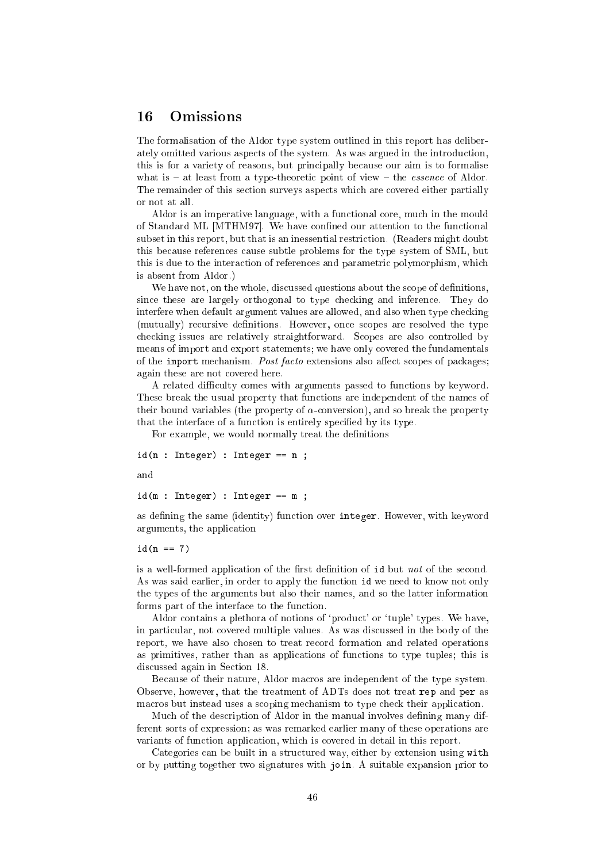## <sup>16</sup> Omissions

The formalisation of the Aldor type system outlined in this report has deliberately omitted various aspects of the system. As was argued in the introduction, this is for a variety of reasons, but principally because our aim is to formalise what is  $-$  at least from a type-theoretic point of view  $-$  the *essence* of Aldor. The remainder of this se
tion surveys aspe
ts whi
h are overed either partially or not at all.

Aldor is an imperative language, with a functional core, much in the mould of Standard ML [MTHM97]. We have confined our attention to the functional subset in this report, but that is an inessential restriction. (Readers might doubt this be
ause referen
es ause subtle problems for the type system of SML, but this is due to the interaction of references and parametric polymorphism, which is absent from Aldor.)

We have not, on the whole, discussed questions about the scope of definitions, since these are largely orthogonal to type checking and inference. They do interfere when default argument values are allowed, and also when type he
king (mutually) recursive definitions. However, once scopes are resolved the type checking issues are relatively straightforward. Scopes are also controlled by means of import and export statements; we have only covered the fundamentals of the import mechanism. Post facto extensions also affect scopes of packages; again these are not overed here.

A related difficulty comes with arguments passed to functions by keyword. These break the usual property that fun
tions are independent of the names of their bound variables (the property of  $\alpha$ -conversion), and so break the property that the interface of a function is entirely specified by its type.

For example, we would normally treat the definitions

id(n : Integer) : Integer == <sup>n</sup> ;

and

idditional integration  $\mathcal{M}$  is integrated in the set of  $\mathcal{M}$ 

as defining the same (identity) function over integer. However, with keyword arguments, the appli
ation

id(n == 7)

is a well-formed application of the first definition of id but *not* of the second. As was said earlier, in order to apply the fun
tion id we need to know not only the types of the arguments but also their names, and so the latter information forms part of the interface to the function.

Aldor contains a plethora of notions of 'product' or 'tuple' types. We have, in parti
ular, not overed multiple values. As was dis
ussed in the body of the report, we have also hosen to treat re
ord formation and related operations as primitives, rather than as applications of functions to type tuples; this is dis
ussed again in Se
tion 18.

Because of their nature, Aldor macros are independent of the type system. Observe, however, that the treatment of ADTs does not treat rep and per as macros but instead uses a scoping mechanism to type check their application.

Much of the description of Aldor in the manual involves defining many different sorts of expression; as was remarked earlier many of these operations are variants of function application, which is covered in detail in this report.

Categories can be built in a structured way, either by extension using with or by putting together two signatures with join. A suitable expansion prior to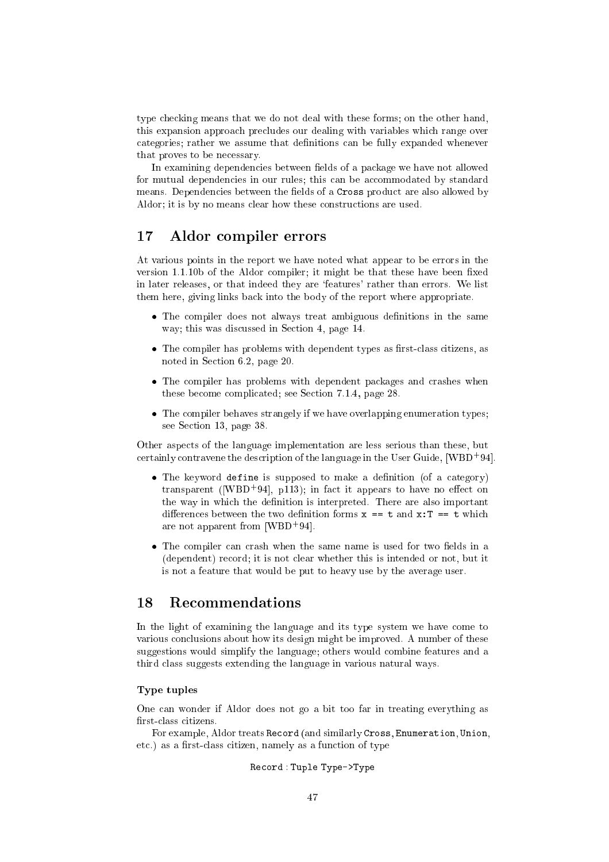type he
king means that we do not deal with these forms; on the other hand, this expansion approa
h pre
ludes our dealing with variables whi
h range over categories; rather we assume that definitions can be fully expanded whenever that proves to be ne
essary.

In examining dependencies between fields of a package we have not allowed for mutual dependencies in our rules; this can be accommodated by standard means. Dependencies between the fields of a Cross product are also allowed by Aldor; it is by no means clear how these constructions are used.

## 17 Aldor ompiler errors

At various points in the report we have noted what appear to be errors in the version 1.1.10b of the Aldor compiler; it might be that these have been fixed in later releases, or that indeed they are 'features' rather than errors. We list them here, giving links ba
k into the body of the report where appropriate.

- The compiler does not always treat ambiguous definitions in the same way; this was discussed in Section 4, page 14.
- The compiler has problems with dependent types as first-class citizens, as noted in Section 6.2, page 20.
- The compiler has problems with dependent packages and crashes when these be
ome ompli
ated; see Se
tion 7.1.4, page 28.
- The compiler behaves strangely if we have overlapping enumeration types; see Se
tion 13, page 38.

Other aspe
ts of the language implementation are less serious than these, but certainly contravene the description of the language in the User Guide, [WBD+94].

- $\bullet$  The keyword define is supposed to make a definition (of a category)  $t$ ransparent ([WDD+94], p115); in fact it appears to have no ellect on the way in which the definition is interpreted. There are also important differences between the two definition forms  $x == t$  and  $x:T == t$  which are not apparent from [WDD+94].
- The compiler can crash when the same name is used for two fields in a (dependent) re
ord; it is not lear whether this is intended or not, but it is not a feature that would be put to heavy use by the average user.

## 18 Re
ommendations

In the light of examining the language and its type system we have come to various on
lusions about how its design might be improved. A number of these suggestions would simplify the language; others would ombine features and a third lass suggests extending the language in various natural ways.

## Type tuples

One an wonder if Aldor does not go a bit too far in treating everything as first-class citizens.

For example, Aldor treats Re
ord (and similarly Cross, Enumeration, Union, etc.) as a first-class citizen, namely as a function of type

## Re
ord : Tuple Type->Type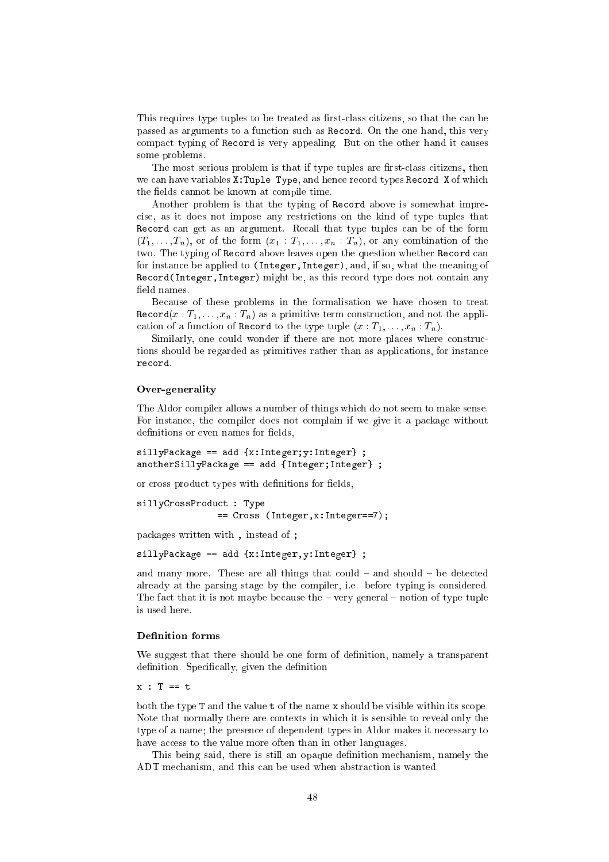This requires type tuples to be treated as first-class citizens, so that the can be passed as arguments to a function such as Record. On the one hand, this very ompa
t typing of Re
ord is very appealing. But on the other hand it auses some problems.

The most serious problem is that if type tuples are first-class citizens, then we can have variables X: Tuple Type, and hence record types Record X of which the fields cannot be known at compile time.

Another problem is that the typing of Re
ord above is somewhat impre cise, as it does not impose any restrictions on the kind of type tuples that recent and gat an organismed account that type tuples that the form of the  $(T_1, \ldots, T_n)$ , or of the form  $(x_1 : T_1, \ldots, x_n : T_n)$ , or any combination of the two. The typing of Record above leaves open the question whether Record can for instan
e be applied to (Integer,Integer), and, if so, what the meaning of rection that is a think of the second terms of the second terms of the second terms of the second terms of the field names.

Because of these problems in the formalisation we have chosen to treat  $\text{Record}(x: T_1, \ldots, x_n: T_n)$  as a primitive term construction, and not the application of a function of Record to the type tuple  $(x: T_1, \ldots, x_n: T_n)$ .

Similarly, one could wonder if there are not more places where constructions should be regarded as primitives rather than as applications, for instance record.

#### Over-generality

The Aldor ompiler allows a number of things whi
h do not seem to make sense. For instan
e, the ompiler does not omplain if we give it a pa
kage without definitions or even names for fields,

silly part in the second contract in the second of the second contract of the second contract of the second contract of the second contract of the second contract of the second contract of the second contract of the second anothers == add {Integer;Integer;Integer;Integer;Integer;Integer;Integer;Integer;

or cross product types with definitions for fields,

```
silly cross-cross-cross-cross-cross-cross-cross-cross-cross-cross-cross-cross-cross-cross-cross-cross-cross-cross-
                                                                                          \sim Cross (Integer, Integers, Integers, Integers, Integers, Integers, Integers, Integers, Integers, Integers, Integers, Integers, Integers, Integers, Integers, Integers, Integers, Integers, Integers, Integers, Integers,
```
pa
kages written with , instead of ;

sillar is the second and the second of the second second second second second second second second second second

and many more. These are all things that could  $-$  and should  $-$  be detected already at the parsing stage by the ompiler, i.e. before typing is onsidered. The fact that it is not maybe because the  $-$  very general  $-$  notion of type tuple

## **Definition forms**

We suggest that there should be one form of definition, namely a transparent definition. Specifically, given the definition

both the type T and the value t of the name x should be visible within its scope. Note that normally there are ontexts in whi
h it is sensible to reveal only the type of a name; the presence of dependent types in Aldor makes it necessary to have access to the value more often than in other languages.

This being said, there is still an opaque definition mechanism, namely the ADT mechanism, and this can be used when abstraction is wanted.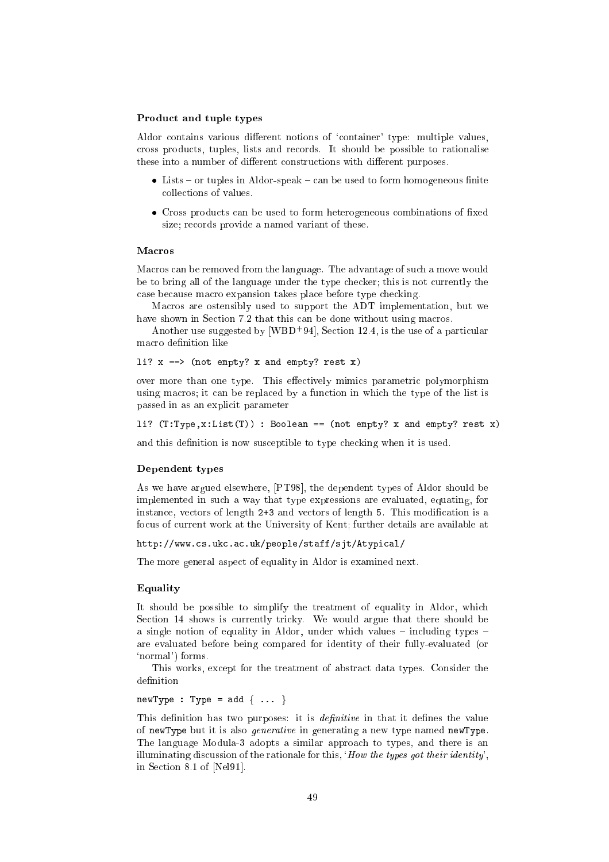## Product and tuple types

Aldor contains various different notions of 'container' type: multiple values, ross produ
ts, tuples, lists and re
ords. It should be possible to rationalise these into a number of different constructions with different purposes.

- Lists { or tuples in Aldor-speak { an be used to form homogeneous nite olle
tions of values.
- Cross produ
ts an be used to form heterogeneous ombinations of xed size; records provide a named variant of these.

Macros can be removed from the language. The advantage of such a move would be to bring all of the language under the type he
ker; this is not urrently the ase be
ause ma
ro expansion takes pla
e before type he
king.

Macros are ostensibly used to support the ADT implementation, but we have shown in Section 7.2 that this can be done without using macros.

Another use suggested by  $\lfloor W (B) \rfloor$  94, Section 12.4, is the use of a particular macro definition like

```
li? x == (not empty? x and empty? rest x)
```
over more than one type. This effectively mimics parametric polymorphism using macros; it can be replaced by a function in which the type of the list is passed in as an expli
it parameter

```
li? (T:Type, x:List(T)) : Boolean == (not empty? x and empty? rest x)
```
and this definition is now susceptible to type checking when it is used.

## Dependent types

As we have argued elsewhere, [PT98], the dependent types of Aldor should be implemented in su
h a way that type expressions are evaluated, equating, for instance, vectors of length 2+3 and vectors of length 5. This modification is a fo
us of urrent work at the University of Kent; further details are available at

http://www.cs.ukc.ac.uk/people/staff/sjt/Atypical/

The more general aspe
t of equality in Aldor is examined next.

## Equality

It should be possible to simplify the treatment of equality in Aldor, whi
h Section 14 shows is currently tricky. We would argue that there should be a single notion of equality in Aldor, under which values  $-$  including types  $$ are evaluated before being ompared for identity of their fully-evaluated (or `normal') forms.

This works, except for the treatment of abstract data types. Consider the

 $newType : Type = add { ... }$ 

This definition has two purposes: it is *definitive* in that it defines the value of newType but it is also generative in generating a new type named newType. The language Modula-3 adopts a similar approach to types, and there is an illuminating discussion of the rationale for this, 'How the types got their identity', in Section 8.1 of [Nel91].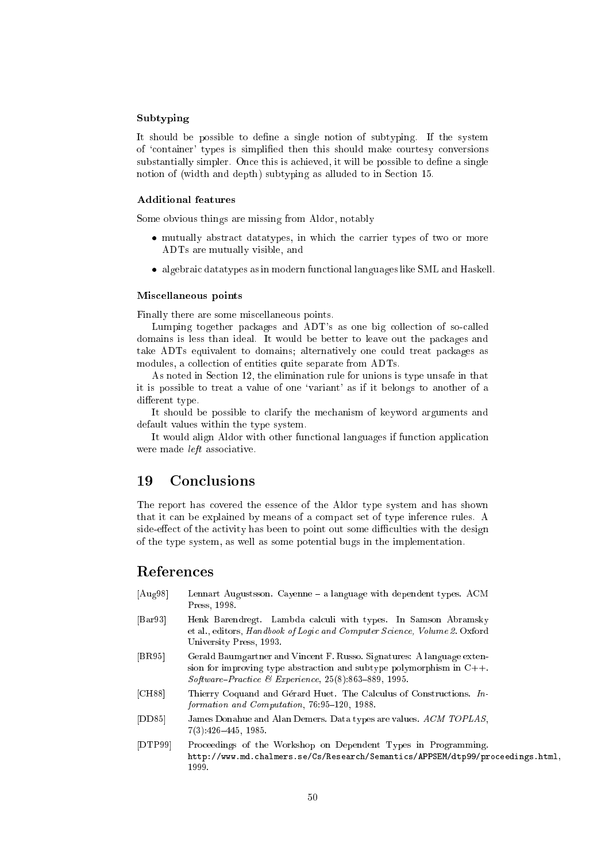## Subtyping

It should be possible to define a single notion of subtyping. If the system of 'container' types is simplified then this should make courtesy conversions substantially simpler. Once this is achieved, it will be possible to define a single notion of (width and depth) subtyping as alluded to in Section 15.

## Additional features

Some obvious things are missing from Aldor, notably

- mutually abstract datatypes, in which the carrier types of two or more ADTs are mutually visible, and
- algebrai datatypes as in modern fun
tional languages like SML and Haskell.

#### Mis
ellaneous points

Finally there are some mis
ellaneous points.

Lumping together packages and ADT's as one big collection of so-called domains is less than ideal. It would be better to leave out the pa
kages and take ADTs equivalent to domains; alternatively one ould treat pa
kages as modules, a collection of entities quite separate from ADTs.

As noted in Se
tion 12, the elimination rule for unions is type unsafe in that it is possible to treat a value of one `variant' as if it belongs to another of a different type.

It should be possible to clarify the mechanism of keyword arguments and default values within the type system.

It would align Aldor with other functional languages if function application were made left asso
iative.

## <sup>19</sup> Con
lusions

The report has overed the essen
e of the Aldor type system and has shown that it can be explained by means of a compact set of type inference rules. A side-effect of the activity has been to point out some difficulties with the design of the type system, as well as some potential bugs in the implementation.

## References

- [Aug98] Lennart Augustsson. Cayenne a language with dependent types. ACM Press, 1998.
- [Bar93] Henk Barendregt. Lambda calculi with types. In Samson Abramsky et al., editors, Handbook of Logic and Computer Science, Volume 2. Oxford University Press, 1993.
- [BR95] Gerald Baumgartner and Vincent F. Russo. Signatures: A language extension for improving type abstraction and subtype polymorphism in  $C++$ . Software-Practice & Experience,  $25(8)$ :863-889, 1995.
- [CH88] Thierry Coquand and Gérard Huet. The Calculus of Constructions. In $formation$  and  $Computation$ , 76:95-120, 1988.
- [DD85] James Donahue and Alan Demers. Data types are values. ACM TOPLAS,  $7(3):426-445, 1985.$
- [DTP99] Proceedings of the Workshop on Dependent Types in Programming. http://www.md.chalmers.se/Cs/Research/Semantics/APPSEM/dtp99/proceedings.html, 1999.